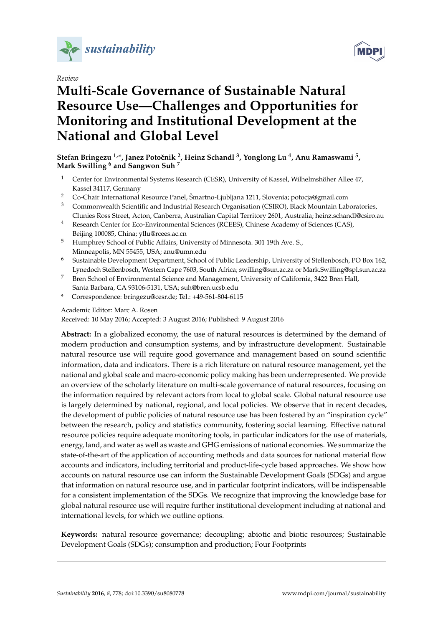

*Review*

# **MDF**

# **Multi-Scale Governance of Sustainable Natural Resource Use—Challenges and Opportunities for Monitoring and Institutional Development at the National and Global Level**

## **Stefan Bringezu 1,\*, Janez Potoˇcnik <sup>2</sup> , Heinz Schandl <sup>3</sup> , Yonglong Lu <sup>4</sup> , Anu Ramaswami <sup>5</sup> , Mark Swilling <sup>6</sup> and Sangwon Suh <sup>7</sup>**

- <sup>1</sup> Center for Environmental Systems Research (CESR), University of Kassel, Wilhelmshöher Allee 47, Kassel 34117, Germany
- <sup>2</sup> Co-Chair International Resource Panel, Šmartno-Ljubljana 1211, Slovenia; potocja@gmail.com
- <sup>3</sup> Commonwealth Scientific and Industrial Research Organisation (CSIRO), Black Mountain Laboratories, Clunies Ross Street, Acton, Canberra, Australian Capital Territory 2601, Australia; heinz.schandl@csiro.au
- <sup>4</sup> Research Center for Eco-Environmental Sciences (RCEES), Chinese Academy of Sciences (CAS), Beijing 100085, China; yllu@rcees.ac.cn
- <sup>5</sup> Humphrey School of Public Affairs, University of Minnesota. 301 19th Ave. S., Minneapolis, MN 55455, USA; anu@umn.edu
- <sup>6</sup> Sustainable Development Department, School of Public Leadership, University of Stellenbosch, PO Box 162, Lynedoch Stellenbosch, Western Cape 7603, South Africa; swilling@sun.ac.za or Mark.Swilling@spl.sun.ac.za
- <sup>7</sup> Bren School of Environmental Science and Management, University of California, 3422 Bren Hall, Santa Barbara, CA 93106-5131, USA; suh@bren.ucsb.edu
- **\*** Correspondence: bringezu@cesr.de; Tel.: +49-561-804-6115

### Academic Editor: Marc A. Rosen

Received: 10 May 2016; Accepted: 3 August 2016; Published: 9 August 2016

**Abstract:** In a globalized economy, the use of natural resources is determined by the demand of modern production and consumption systems, and by infrastructure development. Sustainable natural resource use will require good governance and management based on sound scientific information, data and indicators. There is a rich literature on natural resource management, yet the national and global scale and macro-economic policy making has been underrepresented. We provide an overview of the scholarly literature on multi-scale governance of natural resources, focusing on the information required by relevant actors from local to global scale. Global natural resource use is largely determined by national, regional, and local policies. We observe that in recent decades, the development of public policies of natural resource use has been fostered by an "inspiration cycle" between the research, policy and statistics community, fostering social learning. Effective natural resource policies require adequate monitoring tools, in particular indicators for the use of materials, energy, land, and water as well as waste and GHG emissions of national economies. We summarize the state-of-the-art of the application of accounting methods and data sources for national material flow accounts and indicators, including territorial and product-life-cycle based approaches. We show how accounts on natural resource use can inform the Sustainable Development Goals (SDGs) and argue that information on natural resource use, and in particular footprint indicators, will be indispensable for a consistent implementation of the SDGs. We recognize that improving the knowledge base for global natural resource use will require further institutional development including at national and international levels, for which we outline options.

**Keywords:** natural resource governance; decoupling; abiotic and biotic resources; Sustainable Development Goals (SDGs); consumption and production; Four Footprints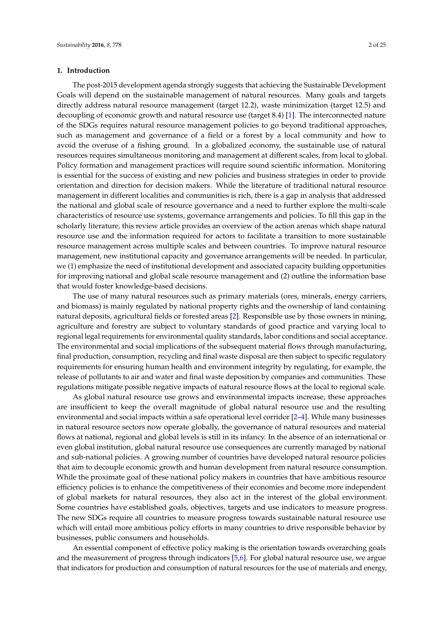#### **1. Introduction**

The post-2015 development agenda strongly suggests that achieving the Sustainable Development Goals will depend on the sustainable management of natural resources. Many goals and targets directly address natural resource management (target 12.2), waste minimization (target 12.5) and decoupling of economic growth and natural resource use (target 8.4) [\[1\]](#page-20-0). The interconnected nature of the SDGs requires natural resource management policies to go beyond traditional approaches, such as management and governance of a field or a forest by a local community and how to avoid the overuse of a fishing ground. In a globalized economy, the sustainable use of natural resources requires simultaneous monitoring and management at different scales, from local to global. Policy formation and management practices will require sound scientific information. Monitoring is essential for the success of existing and new policies and business strategies in order to provide orientation and direction for decision makers. While the literature of traditional natural resource management in different localities and communities is rich, there is a gap in analysis that addressed the national and global scale of resource governance and a need to further explore the multi-scale characteristics of resource use systems, governance arrangements and policies. To fill this gap in the scholarly literature, this review article provides an overview of the action arenas which shape natural resource use and the information required for actors to facilitate a transition to more sustainable resource management across multiple scales and between countries. To improve natural resource management, new institutional capacity and governance arrangements will be needed. In particular, we (1) emphasize the need of institutional development and associated capacity building opportunities for improving national and global scale resource management and (2) outline the information base that would foster knowledge-based decisions.

The use of many natural resources such as primary materials (ores, minerals, energy carriers, and biomass) is mainly regulated by national property rights and the ownership of land containing natural deposits, agricultural fields or forested areas [\[2\]](#page-20-1). Responsible use by those owners in mining, agriculture and forestry are subject to voluntary standards of good practice and varying local to regional legal requirements for environmental quality standards, labor conditions and social acceptance. The environmental and social implications of the subsequent material flows through manufacturing, final production, consumption, recycling and final waste disposal are then subject to specific regulatory requirements for ensuring human health and environment integrity by regulating, for example, the release of pollutants to air and water and final waste deposition by companies and communities. These regulations mitigate possible negative impacts of natural resource flows at the local to regional scale.

As global natural resource use grows and environmental impacts increase, these approaches are insufficient to keep the overall magnitude of global natural resource use and the resulting environmental and social impacts within a safe operational level corridor [\[2–](#page-20-1)[4\]](#page-20-2). While many businesses in natural resource sectors now operate globally, the governance of natural resources and material flows at national, regional and global levels is still in its infancy. In the absence of an international or even global institution, global natural resource use consequences are currently managed by national and sub-national policies. A growing number of countries have developed natural resource policies that aim to decouple economic growth and human development from natural resource consumption. While the proximate goal of these national policy makers in countries that have ambitious resource efficiency policies is to enhance the competitiveness of their economies and become more independent of global markets for natural resources, they also act in the interest of the global environment. Some countries have established goals, objectives, targets and use indicators to measure progress. The new SDGs require all countries to measure progress towards sustainable natural resource use which will entail more ambitious policy efforts in many countries to drive responsible behavior by businesses, public consumers and households.

An essential component of effective policy making is the orientation towards overarching goals and the measurement of progress through indicators [\[5](#page-20-3)[,6\]](#page-20-4). For global natural resource use, we argue that indicators for production and consumption of natural resources for the use of materials and energy,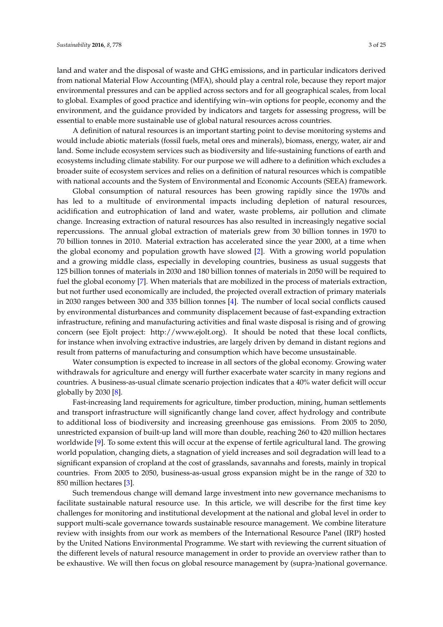land and water and the disposal of waste and GHG emissions, and in particular indicators derived from national Material Flow Accounting (MFA), should play a central role, because they report major environmental pressures and can be applied across sectors and for all geographical scales, from local to global. Examples of good practice and identifying win–win options for people, economy and the environment, and the guidance provided by indicators and targets for assessing progress, will be essential to enable more sustainable use of global natural resources across countries.

A definition of natural resources is an important starting point to devise monitoring systems and would include abiotic materials (fossil fuels, metal ores and minerals), biomass, energy, water, air and land. Some include ecosystem services such as biodiversity and life-sustaining functions of earth and ecosystems including climate stability. For our purpose we will adhere to a definition which excludes a broader suite of ecosystem services and relies on a definition of natural resources which is compatible with national accounts and the System of Environmental and Economic Accounts (SEEA) framework.

Global consumption of natural resources has been growing rapidly since the 1970s and has led to a multitude of environmental impacts including depletion of natural resources, acidification and eutrophication of land and water, waste problems, air pollution and climate change. Increasing extraction of natural resources has also resulted in increasingly negative social repercussions. The annual global extraction of materials grew from 30 billion tonnes in 1970 to 70 billion tonnes in 2010. Material extraction has accelerated since the year 2000, at a time when the global economy and population growth have slowed [\[2\]](#page-20-1). With a growing world population and a growing middle class, especially in developing countries, business as usual suggests that 125 billion tonnes of materials in 2030 and 180 billion tonnes of materials in 2050 will be required to fuel the global economy [\[7\]](#page-20-5). When materials that are mobilized in the process of materials extraction, but not further used economically are included, the projected overall extraction of primary materials in 2030 ranges between 300 and 335 billion tonnes [\[4\]](#page-20-2). The number of local social conflicts caused by environmental disturbances and community displacement because of fast-expanding extraction infrastructure, refining and manufacturing activities and final waste disposal is rising and of growing concern (see Ejolt project: http://www.ejolt.org). It should be noted that these local conflicts, for instance when involving extractive industries, are largely driven by demand in distant regions and result from patterns of manufacturing and consumption which have become unsustainable.

Water consumption is expected to increase in all sectors of the global economy. Growing water withdrawals for agriculture and energy will further exacerbate water scarcity in many regions and countries. A business-as-usual climate scenario projection indicates that a 40% water deficit will occur globally by 2030 [\[8\]](#page-20-6).

Fast-increasing land requirements for agriculture, timber production, mining, human settlements and transport infrastructure will significantly change land cover, affect hydrology and contribute to additional loss of biodiversity and increasing greenhouse gas emissions. From 2005 to 2050, unrestricted expansion of built-up land will more than double, reaching 260 to 420 million hectares worldwide [\[9\]](#page-20-7). To some extent this will occur at the expense of fertile agricultural land. The growing world population, changing diets, a stagnation of yield increases and soil degradation will lead to a significant expansion of cropland at the cost of grasslands, savannahs and forests, mainly in tropical countries. From 2005 to 2050, business-as-usual gross expansion might be in the range of 320 to 850 million hectares [\[3\]](#page-20-8).

Such tremendous change will demand large investment into new governance mechanisms to facilitate sustainable natural resource use. In this article, we will describe for the first time key challenges for monitoring and institutional development at the national and global level in order to support multi-scale governance towards sustainable resource management. We combine literature review with insights from our work as members of the International Resource Panel (IRP) hosted by the United Nations Environmental Programme. We start with reviewing the current situation of the different levels of natural resource management in order to provide an overview rather than to be exhaustive. We will then focus on global resource management by (supra-)national governance.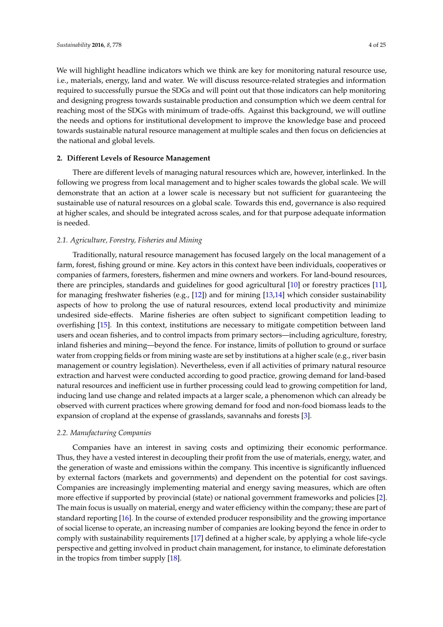We will highlight headline indicators which we think are key for monitoring natural resource use, i.e., materials, energy, land and water. We will discuss resource-related strategies and information required to successfully pursue the SDGs and will point out that those indicators can help monitoring and designing progress towards sustainable production and consumption which we deem central for reaching most of the SDGs with minimum of trade-offs. Against this background, we will outline the needs and options for institutional development to improve the knowledge base and proceed towards sustainable natural resource management at multiple scales and then focus on deficiencies at the national and global levels.

#### **2. Different Levels of Resource Management**

There are different levels of managing natural resources which are, however, interlinked. In the following we progress from local management and to higher scales towards the global scale. We will demonstrate that an action at a lower scale is necessary but not sufficient for guaranteeing the sustainable use of natural resources on a global scale. Towards this end, governance is also required at higher scales, and should be integrated across scales, and for that purpose adequate information is needed.

#### *2.1. Agriculture, Forestry, Fisheries and Mining*

Traditionally, natural resource management has focused largely on the local management of a farm, forest, fishing ground or mine. Key actors in this context have been individuals, cooperatives or companies of farmers, foresters, fishermen and mine owners and workers. For land-bound resources, there are principles, standards and guidelines for good agricultural [\[10\]](#page-20-9) or forestry practices [\[11\]](#page-20-10), for managing freshwater fisheries (e.g., [\[12\]](#page-20-11)) and for mining [\[13](#page-21-0)[,14\]](#page-21-1) which consider sustainability aspects of how to prolong the use of natural resources, extend local productivity and minimize undesired side-effects. Marine fisheries are often subject to significant competition leading to overfishing [\[15\]](#page-21-2). In this context, institutions are necessary to mitigate competition between land users and ocean fisheries, and to control impacts from primary sectors—including agriculture, forestry, inland fisheries and mining—beyond the fence. For instance, limits of pollution to ground or surface water from cropping fields or from mining waste are set by institutions at a higher scale (e.g., river basin management or country legislation). Nevertheless, even if all activities of primary natural resource extraction and harvest were conducted according to good practice, growing demand for land-based natural resources and inefficient use in further processing could lead to growing competition for land, inducing land use change and related impacts at a larger scale, a phenomenon which can already be observed with current practices where growing demand for food and non-food biomass leads to the expansion of cropland at the expense of grasslands, savannahs and forests [\[3\]](#page-20-8).

#### *2.2. Manufacturing Companies*

Companies have an interest in saving costs and optimizing their economic performance. Thus, they have a vested interest in decoupling their profit from the use of materials, energy, water, and the generation of waste and emissions within the company. This incentive is significantly influenced by external factors (markets and governments) and dependent on the potential for cost savings. Companies are increasingly implementing material and energy saving measures, which are often more effective if supported by provincial (state) or national government frameworks and policies [\[2\]](#page-20-1). The main focus is usually on material, energy and water efficiency within the company; these are part of standard reporting [\[16\]](#page-21-3). In the course of extended producer responsibility and the growing importance of social license to operate, an increasing number of companies are looking beyond the fence in order to comply with sustainability requirements [\[17\]](#page-21-4) defined at a higher scale, by applying a whole life-cycle perspective and getting involved in product chain management, for instance, to eliminate deforestation in the tropics from timber supply [\[18\]](#page-21-5).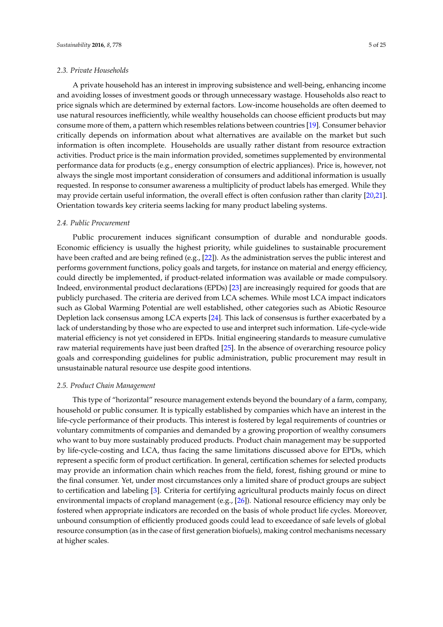#### *2.3. Private Households*

A private household has an interest in improving subsistence and well-being, enhancing income and avoiding losses of investment goods or through unnecessary wastage. Households also react to price signals which are determined by external factors. Low-income households are often deemed to use natural resources inefficiently, while wealthy households can choose efficient products but may consume more of them, a pattern which resembles relations between countries [\[19\]](#page-21-6). Consumer behavior critically depends on information about what alternatives are available on the market but such information is often incomplete. Households are usually rather distant from resource extraction activities. Product price is the main information provided, sometimes supplemented by environmental performance data for products (e.g., energy consumption of electric appliances). Price is, however, not always the single most important consideration of consumers and additional information is usually requested. In response to consumer awareness a multiplicity of product labels has emerged. While they may provide certain useful information, the overall effect is often confusion rather than clarity [\[20](#page-21-7)[,21\]](#page-21-8). Orientation towards key criteria seems lacking for many product labeling systems.

#### *2.4. Public Procurement*

Public procurement induces significant consumption of durable and nondurable goods. Economic efficiency is usually the highest priority, while guidelines to sustainable procurement have been crafted and are being refined (e.g., [\[22\]](#page-21-9)). As the administration serves the public interest and performs government functions, policy goals and targets, for instance on material and energy efficiency, could directly be implemented, if product-related information was available or made compulsory. Indeed, environmental product declarations (EPDs) [\[23\]](#page-21-10) are increasingly required for goods that are publicly purchased. The criteria are derived from LCA schemes. While most LCA impact indicators such as Global Warming Potential are well established, other categories such as Abiotic Resource Depletion lack consensus among LCA experts [\[24\]](#page-21-11). This lack of consensus is further exacerbated by a lack of understanding by those who are expected to use and interpret such information. Life-cycle-wide material efficiency is not yet considered in EPDs. Initial engineering standards to measure cumulative raw material requirements have just been drafted [\[25\]](#page-21-12). In the absence of overarching resource policy goals and corresponding guidelines for public administration, public procurement may result in unsustainable natural resource use despite good intentions.

#### *2.5. Product Chain Management*

This type of "horizontal" resource management extends beyond the boundary of a farm, company, household or public consumer. It is typically established by companies which have an interest in the life-cycle performance of their products. This interest is fostered by legal requirements of countries or voluntary commitments of companies and demanded by a growing proportion of wealthy consumers who want to buy more sustainably produced products. Product chain management may be supported by life-cycle-costing and LCA, thus facing the same limitations discussed above for EPDs, which represent a specific form of product certification. In general, certification schemes for selected products may provide an information chain which reaches from the field, forest, fishing ground or mine to the final consumer. Yet, under most circumstances only a limited share of product groups are subject to certification and labeling [\[3\]](#page-20-8). Criteria for certifying agricultural products mainly focus on direct environmental impacts of cropland management (e.g., [\[26\]](#page-21-13)). National resource efficiency may only be fostered when appropriate indicators are recorded on the basis of whole product life cycles. Moreover, unbound consumption of efficiently produced goods could lead to exceedance of safe levels of global resource consumption (as in the case of first generation biofuels), making control mechanisms necessary at higher scales.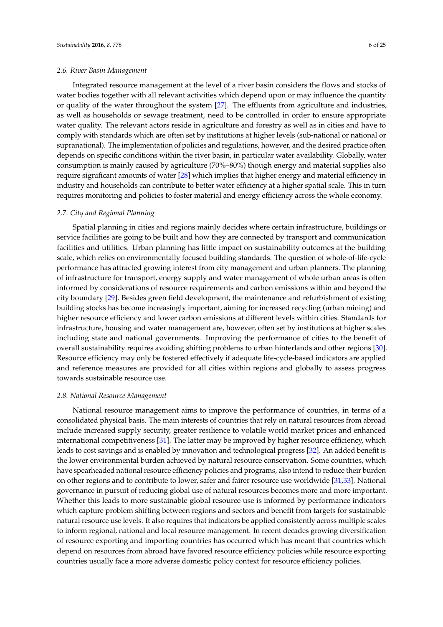#### *2.6. River Basin Management*

Integrated resource management at the level of a river basin considers the flows and stocks of water bodies together with all relevant activities which depend upon or may influence the quantity or quality of the water throughout the system [\[27\]](#page-21-14). The effluents from agriculture and industries, as well as households or sewage treatment, need to be controlled in order to ensure appropriate water quality. The relevant actors reside in agriculture and forestry as well as in cities and have to comply with standards which are often set by institutions at higher levels (sub-national or national or supranational). The implementation of policies and regulations, however, and the desired practice often depends on specific conditions within the river basin, in particular water availability. Globally, water consumption is mainly caused by agriculture (70%–80%) though energy and material supplies also require significant amounts of water [\[28\]](#page-21-15) which implies that higher energy and material efficiency in industry and households can contribute to better water efficiency at a higher spatial scale. This in turn requires monitoring and policies to foster material and energy efficiency across the whole economy.

#### *2.7. City and Regional Planning*

Spatial planning in cities and regions mainly decides where certain infrastructure, buildings or service facilities are going to be built and how they are connected by transport and communication facilities and utilities. Urban planning has little impact on sustainability outcomes at the building scale, which relies on environmentally focused building standards. The question of whole-of-life-cycle performance has attracted growing interest from city management and urban planners. The planning of infrastructure for transport, energy supply and water management of whole urban areas is often informed by considerations of resource requirements and carbon emissions within and beyond the city boundary [\[29\]](#page-21-16). Besides green field development, the maintenance and refurbishment of existing building stocks has become increasingly important, aiming for increased recycling (urban mining) and higher resource efficiency and lower carbon emissions at different levels within cities. Standards for infrastructure, housing and water management are, however, often set by institutions at higher scales including state and national governments. Improving the performance of cities to the benefit of overall sustainability requires avoiding shifting problems to urban hinterlands and other regions [\[30\]](#page-21-17). Resource efficiency may only be fostered effectively if adequate life-cycle-based indicators are applied and reference measures are provided for all cities within regions and globally to assess progress towards sustainable resource use.

#### *2.8. National Resource Management*

National resource management aims to improve the performance of countries, in terms of a consolidated physical basis. The main interests of countries that rely on natural resources from abroad include increased supply security, greater resilience to volatile world market prices and enhanced international competitiveness [\[31\]](#page-21-18). The latter may be improved by higher resource efficiency, which leads to cost savings and is enabled by innovation and technological progress [\[32\]](#page-21-19). An added benefit is the lower environmental burden achieved by natural resource conservation. Some countries, which have spearheaded national resource efficiency policies and programs, also intend to reduce their burden on other regions and to contribute to lower, safer and fairer resource use worldwide [\[31,](#page-21-18)[33\]](#page-22-0). National governance in pursuit of reducing global use of natural resources becomes more and more important. Whether this leads to more sustainable global resource use is informed by performance indicators which capture problem shifting between regions and sectors and benefit from targets for sustainable natural resource use levels. It also requires that indicators be applied consistently across multiple scales to inform regional, national and local resource management. In recent decades growing diversification of resource exporting and importing countries has occurred which has meant that countries which depend on resources from abroad have favored resource efficiency policies while resource exporting countries usually face a more adverse domestic policy context for resource efficiency policies.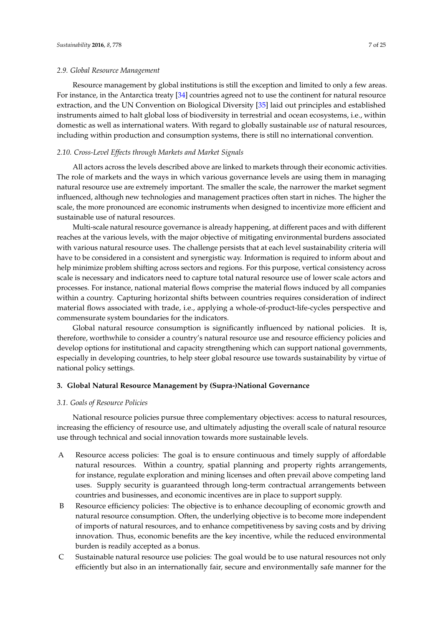#### *2.9. Global Resource Management*

Resource management by global institutions is still the exception and limited to only a few areas. For instance, in the Antarctica treaty [\[34\]](#page-22-1) countries agreed not to use the continent for natural resource extraction, and the UN Convention on Biological Diversity [\[35\]](#page-22-2) laid out principles and established instruments aimed to halt global loss of biodiversity in terrestrial and ocean ecosystems, i.e., within domestic as well as international waters. With regard to globally sustainable *use* of natural resources, including within production and consumption systems, there is still no international convention.

#### *2.10. Cross-Level Effects through Markets and Market Signals*

All actors across the levels described above are linked to markets through their economic activities. The role of markets and the ways in which various governance levels are using them in managing natural resource use are extremely important. The smaller the scale, the narrower the market segment influenced, although new technologies and management practices often start in niches. The higher the scale, the more pronounced are economic instruments when designed to incentivize more efficient and sustainable use of natural resources.

Multi-scale natural resource governance is already happening, at different paces and with different reaches at the various levels, with the major objective of mitigating environmental burdens associated with various natural resource uses. The challenge persists that at each level sustainability criteria will have to be considered in a consistent and synergistic way. Information is required to inform about and help minimize problem shifting across sectors and regions. For this purpose, vertical consistency across scale is necessary and indicators need to capture total natural resource use of lower scale actors and processes. For instance, national material flows comprise the material flows induced by all companies within a country. Capturing horizontal shifts between countries requires consideration of indirect material flows associated with trade, i.e., applying a whole-of-product-life-cycles perspective and commensurate system boundaries for the indicators.

Global natural resource consumption is significantly influenced by national policies. It is, therefore, worthwhile to consider a country's natural resource use and resource efficiency policies and develop options for institutional and capacity strengthening which can support national governments, especially in developing countries, to help steer global resource use towards sustainability by virtue of national policy settings.

#### **3. Global Natural Resource Management by (Supra-)National Governance**

#### *3.1. Goals of Resource Policies*

National resource policies pursue three complementary objectives: access to natural resources, increasing the efficiency of resource use, and ultimately adjusting the overall scale of natural resource use through technical and social innovation towards more sustainable levels.

- A Resource access policies: The goal is to ensure continuous and timely supply of affordable natural resources. Within a country, spatial planning and property rights arrangements, for instance, regulate exploration and mining licenses and often prevail above competing land uses. Supply security is guaranteed through long-term contractual arrangements between countries and businesses, and economic incentives are in place to support supply.
- B Resource efficiency policies: The objective is to enhance decoupling of economic growth and natural resource consumption. Often, the underlying objective is to become more independent of imports of natural resources, and to enhance competitiveness by saving costs and by driving innovation. Thus, economic benefits are the key incentive, while the reduced environmental burden is readily accepted as a bonus.
- C Sustainable natural resource use policies: The goal would be to use natural resources not only efficiently but also in an internationally fair, secure and environmentally safe manner for the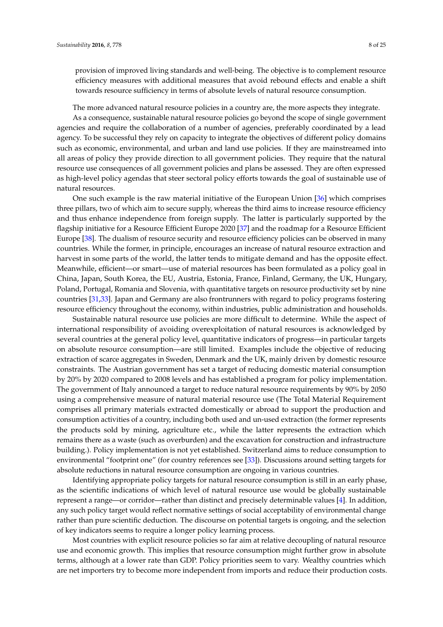provision of improved living standards and well-being. The objective is to complement resource efficiency measures with additional measures that avoid rebound effects and enable a shift towards resource sufficiency in terms of absolute levels of natural resource consumption.

The more advanced natural resource policies in a country are, the more aspects they integrate.

As a consequence, sustainable natural resource policies go beyond the scope of single government agencies and require the collaboration of a number of agencies, preferably coordinated by a lead agency. To be successful they rely on capacity to integrate the objectives of different policy domains such as economic, environmental, and urban and land use policies. If they are mainstreamed into all areas of policy they provide direction to all government policies. They require that the natural resource use consequences of all government policies and plans be assessed. They are often expressed as high-level policy agendas that steer sectoral policy efforts towards the goal of sustainable use of natural resources.

One such example is the raw material initiative of the European Union [\[36\]](#page-22-3) which comprises three pillars, two of which aim to secure supply, whereas the third aims to increase resource efficiency and thus enhance independence from foreign supply. The latter is particularly supported by the flagship initiative for a Resource Efficient Europe 2020 [\[37\]](#page-22-4) and the roadmap for a Resource Efficient Europe [\[38\]](#page-22-5). The dualism of resource security and resource efficiency policies can be observed in many countries. While the former, in principle, encourages an increase of natural resource extraction and harvest in some parts of the world, the latter tends to mitigate demand and has the opposite effect. Meanwhile, efficient—or smart—use of material resources has been formulated as a policy goal in China, Japan, South Korea, the EU, Austria, Estonia, France, Finland, Germany, the UK, Hungary, Poland, Portugal, Romania and Slovenia, with quantitative targets on resource productivity set by nine countries [\[31,](#page-21-18)[33\]](#page-22-0). Japan and Germany are also frontrunners with regard to policy programs fostering resource efficiency throughout the economy, within industries, public administration and households.

Sustainable natural resource use policies are more difficult to determine. While the aspect of international responsibility of avoiding overexploitation of natural resources is acknowledged by several countries at the general policy level, quantitative indicators of progress—in particular targets on absolute resource consumption—are still limited. Examples include the objective of reducing extraction of scarce aggregates in Sweden, Denmark and the UK, mainly driven by domestic resource constraints. The Austrian government has set a target of reducing domestic material consumption by 20% by 2020 compared to 2008 levels and has established a program for policy implementation. The government of Italy announced a target to reduce natural resource requirements by 90% by 2050 using a comprehensive measure of natural material resource use (The Total Material Requirement comprises all primary materials extracted domestically or abroad to support the production and consumption activities of a country, including both used and un-used extraction (the former represents the products sold by mining, agriculture etc., while the latter represents the extraction which remains there as a waste (such as overburden) and the excavation for construction and infrastructure building.). Policy implementation is not yet established. Switzerland aims to reduce consumption to environmental "footprint one" (for country references see [\[33\]](#page-22-0)). Discussions around setting targets for absolute reductions in natural resource consumption are ongoing in various countries.

Identifying appropriate policy targets for natural resource consumption is still in an early phase, as the scientific indications of which level of natural resource use would be globally sustainable represent a range—or corridor—rather than distinct and precisely determinable values [\[4\]](#page-20-2). In addition, any such policy target would reflect normative settings of social acceptability of environmental change rather than pure scientific deduction. The discourse on potential targets is ongoing, and the selection of key indicators seems to require a longer policy learning process.

Most countries with explicit resource policies so far aim at relative decoupling of natural resource use and economic growth. This implies that resource consumption might further grow in absolute terms, although at a lower rate than GDP. Policy priorities seem to vary. Wealthy countries which are net importers try to become more independent from imports and reduce their production costs.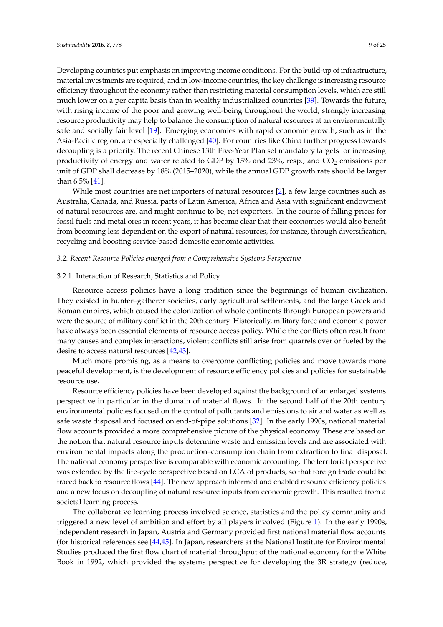Developing countries put emphasis on improving income conditions. For the build-up of infrastructure, material investments are required, and in low-income countries, the key challenge is increasing resource efficiency throughout the economy rather than restricting material consumption levels, which are still much lower on a per capita basis than in wealthy industrialized countries [\[39\]](#page-22-6). Towards the future, with rising income of the poor and growing well-being throughout the world, strongly increasing resource productivity may help to balance the consumption of natural resources at an environmentally safe and socially fair level [\[19\]](#page-21-6). Emerging economies with rapid economic growth, such as in the Asia-Pacific region, are especially challenged [\[40\]](#page-22-7). For countries like China further progress towards decoupling is a priority. The recent Chinese 13th Five-Year Plan set mandatory targets for increasing productivity of energy and water related to GDP by 15% and 23%, resp., and  $CO<sub>2</sub>$  emissions per unit of GDP shall decrease by 18% (2015–2020), while the annual GDP growth rate should be larger than 6.5% [\[41\]](#page-22-8).

While most countries are net importers of natural resources [\[2\]](#page-20-1), a few large countries such as Australia, Canada, and Russia, parts of Latin America, Africa and Asia with significant endowment of natural resources are, and might continue to be, net exporters. In the course of falling prices for fossil fuels and metal ores in recent years, it has become clear that their economies would also benefit from becoming less dependent on the export of natural resources, for instance, through diversification, recycling and boosting service-based domestic economic activities.

#### *3.2. Recent Resource Policies emerged from a Comprehensive Systems Perspective*

#### 3.2.1. Interaction of Research, Statistics and Policy

Resource access policies have a long tradition since the beginnings of human civilization. They existed in hunter–gatherer societies, early agricultural settlements, and the large Greek and Roman empires, which caused the colonization of whole continents through European powers and were the source of military conflict in the 20th century. Historically, military force and economic power have always been essential elements of resource access policy. While the conflicts often result from many causes and complex interactions, violent conflicts still arise from quarrels over or fueled by the desire to access natural resources [\[42,](#page-22-9)[43\]](#page-22-10).

Much more promising, as a means to overcome conflicting policies and move towards more peaceful development, is the development of resource efficiency policies and policies for sustainable resource use.

Resource efficiency policies have been developed against the background of an enlarged systems perspective in particular in the domain of material flows. In the second half of the 20th century environmental policies focused on the control of pollutants and emissions to air and water as well as safe waste disposal and focused on end-of-pipe solutions [\[32\]](#page-21-19). In the early 1990s, national material flow accounts provided a more comprehensive picture of the physical economy. These are based on the notion that natural resource inputs determine waste and emission levels and are associated with environmental impacts along the production–consumption chain from extraction to final disposal. The national economy perspective is comparable with economic accounting. The territorial perspective was extended by the life-cycle perspective based on LCA of products, so that foreign trade could be traced back to resource flows [\[44\]](#page-22-11). The new approach informed and enabled resource efficiency policies and a new focus on decoupling of natural resource inputs from economic growth. This resulted from a societal learning process.

The collaborative learning process involved science, statistics and the policy community and triggered a new level of ambition and effort by all players involved (Figure [1\)](#page-9-0). In the early 1990s, independent research in Japan, Austria and Germany provided first national material flow accounts (for historical references see [\[44,](#page-22-11)[45\]](#page-22-12). In Japan, researchers at the National Institute for Environmental Studies produced the first flow chart of material throughput of the national economy for the White Book in 1992, which provided the systems perspective for developing the 3R strategy (reduce,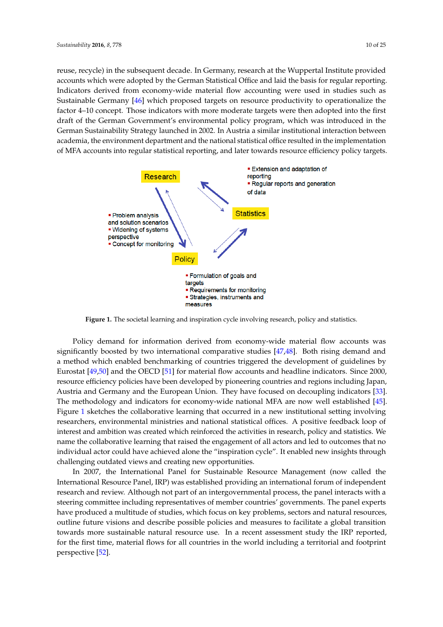reuse, recycle) in the subsequent decade. In Germany, research at the Wuppertal Institute provided *Sustainability* **2016**, *8*, 778 10 of 25 accounts which were adopted by the German Statistical Office and laid the basis for regular reporting. Indicators derived from economy-wide material flow accounting were used in studies such as Sustainable Germany [46] which proposed targets on resource productivity to operationalize the factor 4–10 concep[t. T](#page-22-13)hose indicators with more moderate targets were then adopted into the first factor 4–10 concept. Those indicators with more moderate targets were then adopted into the first draft of the German Government's environmental policy program, which was introduced in the German Sustainability Strategy launched in 2002. In Austria a similar institutional interaction between academia, the environment department and the national statistical office resulted in the implementation of MFA accounts into regular statistical reporting, and later towards resource efficiency policy targets. efficiency policy targets.

<span id="page-9-0"></span>

**Figure 1.** The societal learning and inspiration cycle involving research, policy and statistics. **Figure 1.** The societal learning and inspiration cycle involving research, policy and statistics.

Policy demand for information derived from economy-wide material flow accounts was Policy demand for information derived from economy-wide material flow accounts was significantly boosted by two international comparative studies [\[47](#page-22-14)[,48\]](#page-22-15). Both rising demand and method which enabled benchmarking of countries triggered the development of guidelines by a method which enabled benchmarking of countries triggered the development of guidelines by Eurostat [49,50] and the OECD [51] for material flow accounts and headline indicators. Since 2000, Eurostat [\[49](#page-22-16)[,50\]](#page-22-17) and the OECD [\[51\]](#page-22-18) for material flow accounts and headline indicators. Since 2000, resource efficiency policies have been developed by pioneering countries and regions including resource efficiency policies have been developed by pioneering countries and regions including Japan, Austria and Germany and the European Union. They have focused on decoupling indicators [\[33\]](#page-22-0). [33]. The methodology and indicators for economy-wide national MFA are now well established The methodology and indicators for economy-wide national MFA are now well established [\[45\]](#page-22-12). Figure [1](#page-9-0) sketches the collaborative learning that occurred in a new institutional setting involving researchers, environmental ministries and national statistical offices. A positive feedback loop of interest and ambition was created which reinforced the activities in research, policy and statistics. We name the collaborative learning that raised the engagement of all actors and led to outcomes that no individual actor could have achieved alone the "inspiration cycle". It enabled new insights through challenging outdated views and creating new opportunities.

In 2007, the International Panel for Sustainable Resource Management (now called the In 2007, the International Panel for Sustainable Resource Management (now called the International Resource Panel, IRP) was established providing an international forum of independent International Resource Panel, IRP) was established providing an international forum of independent research and review. Although not part of an intergovernmental process, the panel interacts with a research and review. Although not part of an intergovernmental process, the panel interacts with a steering committee including representatives of member countries' governments. The panel experts steering committee including representatives of member countries' governments. The panel experts have produced a multitude of studies, which focus on key problems, sectors and natural resources, have produced a multitude of studies, which focus on key problems, sectors and natural resources, outline future visions and describe possible policies and measures to facilitate a global transition outline future visions and describe possible policies and measures to facilitate a global transition towards more sustainable natural resource use. In a recent assessment study the IRP reported, for the first time, material flows for all countries in the world including a territorial and footprint perspective [\[52\]](#page-22-19).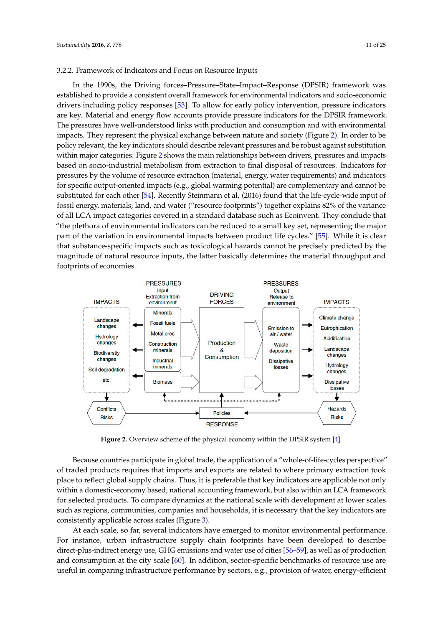#### 3.2.2. Framework of Indicators and Focus on Resource Inputs

In the 1990s, the Driving forces–Pressure–State–Impact–Response (DPSIR) framework was established to provide a consistent overall framework for environmental indicators and socio-economic *Sustainability* **2016**, *8*, 778 11 of 25 drivers including policy responses [\[53\]](#page-22-20). To allow for early policy intervention, pressure indicators are key. Material and energy flow accounts provide pressure indicators for the DPSIR framework. The pressures have well-understood links with production and consumption and with environmental impacts. They represent the physical exchange between nature and society (Figure [2\)](#page-10-0). In order to be policy relevant, the key indicators should describe relevant pressures and be robust against substitution tured in major categories. Figure [2](#page-10-0) shows the main relationships between drivers, pressures and impacts based on socio-industrial metabolism from extraction to final disposal of resources. Indicators for Final disposal disposal disposal of resource extraction (material, energy, water requirements) and indicators for pressures by the volume of resource extraction (material, energy, water requirements) and indicators for specific output-oriented impacts (e.g., global warming potential) are complementary and cannot be substituted for each other [\[54\]](#page-22-21). Recently Steinmann et al. (2016) found that the life-cycle-wide input of fossil energy, materials, land, and water ("resource footprints") together explains 82% of the variance of all LCA impact categories covered in a standard database such as Ecoinvent. They conclude that "the plethora of environmental indicators can be reduced to a small key set, representing the major part of the variation in environmental impacts between product life cycles." [\[55\]](#page-22-22). While it is clear that substance-specific impacts such as toxicological hazards cannot be precisely predicted by the magnitude of natural resource inputs, the latter basically determines the material throughput and magnitude of natural resource inputs, the latter basically determines the material throughput and footprints of economies. footprints of economies. warming potential impacts (e.g., global warming potential) are complementary and cannot

<span id="page-10-0"></span>

**Figure 2.** Overview scheme of the physical economy within the DPSIR system [4]. **Figure 2.** Overview scheme of the physical economy within the DPSIR system [\[4\]](#page-20-2).

Because countries participate in global trade, the application of a "whole-of-life-cycles Because countries participate in global trade, the application of a "whole-of-life-cycles perspective" of traded products requires that imports and exports are related to where primary extraction took place to reflect global supply chains. Thus, it is preferable that key indicators are applicable not only within a domestic-economy based, national accounting framework, but also within an LCA framework for selected products. To compare dynamics at the national scale with development at lower scales such as regions, communities, companies and households, it is necessary that the key indicators are  $\overline{\text{const}}$  consistently applicable across scales (Figure [3\)](#page-11-0).

At each scale, so far, several indicators have emerged to monitor environmental performance. At each scale, so far, several indicators have emerged to monitor environmental performance. For each search supply several materialists have enterprints and chained chain formulation  $\frac{1}{2}$ For instance, urban infrastructure supply chain footprints have been developed to describe<br>in the cities in the cities in the cities in the cities is well as well as of the cities in the cities in the c direct-plus-indirect energy use, GHG emissions and water use of cities [\[56–](#page-23-0)[59\]](#page-23-1), as well as of production and consumption at the city scale  $[60]$ . In addition, sector-specific benchmarks of resource use are useful in comparing infrastructure performance by sectors, e.g., provision of water, energy-efficient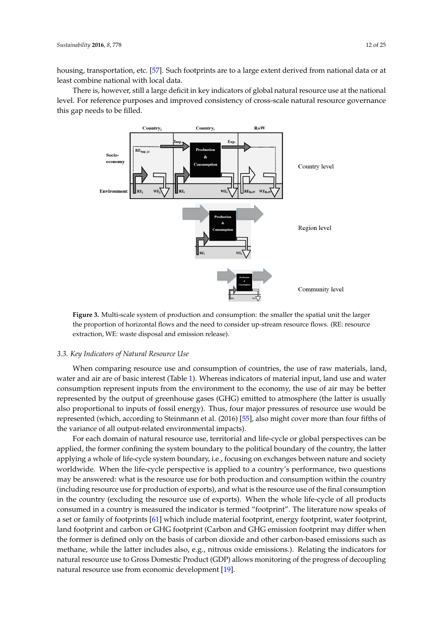housing, transportation, etc. [\[57\]](#page-23-3). Such footprints are to a large extent derived from national data or at *Sustainability* **2016**, *8*, 778 12 of 25 least combine national with local data.

There is, however, still a large deficit in key indicators of global natural resource use at the national There is, however, still a large deficit in key indicators of global natural resource use at the level. For reference purposes and improved consistency of cross-scale natural resource governance this gap needs to be filled.

<span id="page-11-0"></span>

**Figure 3.** Multi-scale system of production and consumption: the smaller the spatial unit the larger **Figure 3.** Multi-scale system of production and consumption: the smaller the spatial unit the larger the proportion of horizontal flows and the need to consider up-stream resource flows. the proportion of horizontal flows and the need to consider up-stream resource flows. (RE: resource extraction, WE: waste disposal and emission release).

# *3.3. Key Indicators of Natural Resource Use 3.3. Key Indicators of Natural Resource Use*

When comparing resource use and consumption of countries, the use of raw materials, land, When comparing resource use and consumption of countries, the use of raw materials, land, water and air are of basic interest (Table [1\)](#page-12-0). Whereas indicators of material input, land use and water consumption represent inputs from the environment to the economy, the use of air may be better consumption represent inputs from the environment to the economy, the use of air may be better represented by the output of greenhouse gases (GHG) emitted to atmosphere (the latter is usually represented by the output of greenhouse gases (GHG) emitted to atmosphere (the latter is usually proportional to input of generational gales (GTO) entities to unnopplere (are mater to modula also proportional to inputs of fossil energy). Thus, four major pressures of resource use would be represented (which, according to Steinmann et al. (2016) [\[55\]](#page-22-22), also might cover more than four fifths of the variance of all output-related environmental impacts).

For each domain of natural resource use, territorial and life-cycle or global perspectives can be applied, the former confining the system boundary to the political boundary of the country, the latter applying a whole of life-cycle system boundary, i.e., focusing on exchanges between nature and society worldwide. When the life-cycle perspective is applied to a country's performance, two questions may be answered: what is the resource use for both production and consumption within the country (including resource use for production of exports), and what is the resource use of the final consumption in the country (excluding the resource use of exports). When the whole life-cycle of all products consumed in a country is measured the indicator is termed "footprint". The literature now speaks of a set or family of footprints [\[61\]](#page-23-4) which include material footprint, energy footprint, water footprint, land footprint and carbon or GHG footprint (Carbon and GHG emission footprint may differ when the former is defined only on the basis of carbon dioxide and other carbon-based emissions such as methane, while the latter includes also, e.g., nitrous oxide emissions.). Relating the indicators for natural resource use to Gross Domestic Product (GDP) allows monitoring of the progress of decoupling natural resource use from economic development [\[19\]](#page-21-6).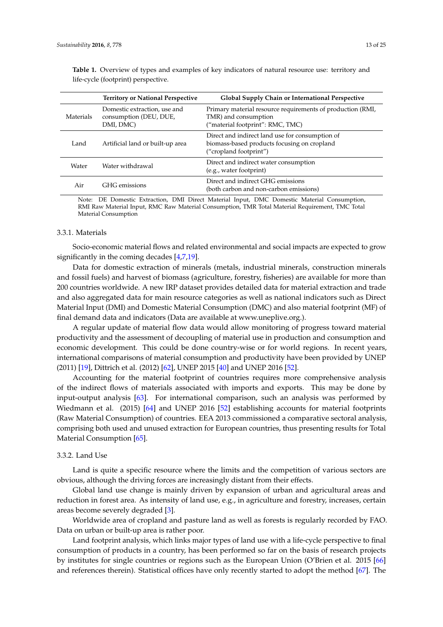|                  | <b>Territory or National Perspective</b>                            | Global Supply Chain or International Perspective                                                                         |
|------------------|---------------------------------------------------------------------|--------------------------------------------------------------------------------------------------------------------------|
| <b>Materials</b> | Domestic extraction, use and<br>consumption (DEU, DUE,<br>DMI, DMC) | Primary material resource requirements of production (RMI,<br>TMR) and consumption<br>("material footprint": RMC, TMC)   |
| Land             | Artificial land or built-up area                                    | Direct and indirect land use for consumption of<br>biomass-based products focusing on cropland<br>("cropland footprint") |
| Water            | Water withdrawal                                                    | Direct and indirect water consumption<br>(e.g., water footprint)                                                         |
| Air              | GHG emissions                                                       | Direct and indirect GHG emissions<br>(both carbon and non-carbon emissions)                                              |

<span id="page-12-0"></span>**Table 1.** Overview of types and examples of key indicators of natural resource use: territory and life-cycle (footprint) perspective.

Note: DE Domestic Extraction, DMI Direct Material Input, DMC Domestic Material Consumption, RMI Raw Material Input, RMC Raw Material Consumption, TMR Total Material Requirement, TMC Total Material Consumption

#### 3.3.1. Materials

Socio-economic material flows and related environmental and social impacts are expected to grow significantly in the coming decades [\[4](#page-20-2)[,7](#page-20-5)[,19\]](#page-21-6).

Data for domestic extraction of minerals (metals, industrial minerals, construction minerals and fossil fuels) and harvest of biomass (agriculture, forestry, fisheries) are available for more than 200 countries worldwide. A new IRP dataset provides detailed data for material extraction and trade and also aggregated data for main resource categories as well as national indicators such as Direct Material Input (DMI) and Domestic Material Consumption (DMC) and also material footprint (MF) of final demand data and indicators (Data are available at www.uneplive.org.).

A regular update of material flow data would allow monitoring of progress toward material productivity and the assessment of decoupling of material use in production and consumption and economic development. This could be done country-wise or for world regions. In recent years, international comparisons of material consumption and productivity have been provided by UNEP (2011) [\[19\]](#page-21-6), Dittrich et al. (2012) [\[62\]](#page-23-5), UNEP 2015 [\[40\]](#page-22-7) and UNEP 2016 [\[52\]](#page-22-19).

Accounting for the material footprint of countries requires more comprehensive analysis of the indirect flows of materials associated with imports and exports. This may be done by input-output analysis [\[63\]](#page-23-6). For international comparison, such an analysis was performed by Wiedmann et al. (2015) [\[64\]](#page-23-7) and UNEP 2016 [\[52\]](#page-22-19) establishing accounts for material footprints (Raw Material Consumption) of countries. EEA 2013 commissioned a comparative sectoral analysis, comprising both used and unused extraction for European countries, thus presenting results for Total Material Consumption [\[65\]](#page-23-8).

#### 3.3.2. Land Use

Land is quite a specific resource where the limits and the competition of various sectors are obvious, although the driving forces are increasingly distant from their effects.

Global land use change is mainly driven by expansion of urban and agricultural areas and reduction in forest area. As intensity of land use, e.g., in agriculture and forestry, increases, certain areas become severely degraded [\[3\]](#page-20-8).

Worldwide area of cropland and pasture land as well as forests is regularly recorded by FAO. Data on urban or built-up area is rather poor.

Land footprint analysis, which links major types of land use with a life-cycle perspective to final consumption of products in a country, has been performed so far on the basis of research projects by institutes for single countries or regions such as the European Union (O'Brien et al. 2015 [\[66\]](#page-23-9) and references therein). Statistical offices have only recently started to adopt the method [\[67\]](#page-23-10). The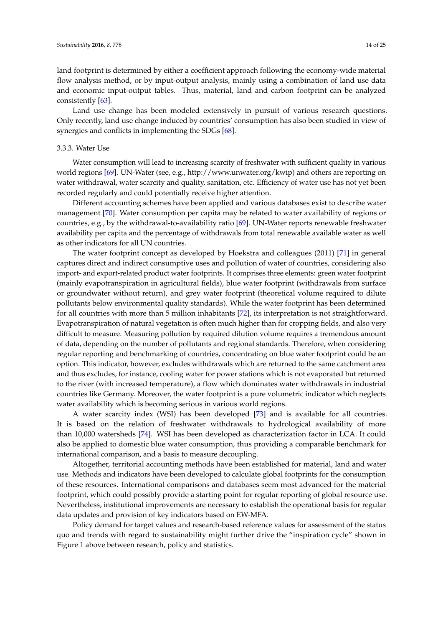land footprint is determined by either a coefficient approach following the economy-wide material flow analysis method, or by input-output analysis, mainly using a combination of land use data and economic input-output tables. Thus, material, land and carbon footprint can be analyzed consistently [\[63\]](#page-23-6).

Land use change has been modeled extensively in pursuit of various research questions. Only recently, land use change induced by countries' consumption has also been studied in view of synergies and conflicts in implementing the SDGs [\[68\]](#page-23-11).

#### 3.3.3. Water Use

Water consumption will lead to increasing scarcity of freshwater with sufficient quality in various world regions [\[69\]](#page-23-12). UN-Water (see, e.g., http://www.unwater.org/kwip) and others are reporting on water withdrawal, water scarcity and quality, sanitation, etc. Efficiency of water use has not yet been recorded regularly and could potentially receive higher attention.

Different accounting schemes have been applied and various databases exist to describe water management [\[70\]](#page-23-13). Water consumption per capita may be related to water availability of regions or countries, e.g., by the withdrawal-to-availability ratio [\[69\]](#page-23-12). UN-Water reports renewable freshwater availability per capita and the percentage of withdrawals from total renewable available water as well as other indicators for all UN countries.

The water footprint concept as developed by Hoekstra and colleagues (2011) [\[71\]](#page-23-14) in general captures direct and indirect consumptive uses and pollution of water of countries, considering also import- and export-related product water footprints. It comprises three elements: green water footprint (mainly evapotranspiration in agricultural fields), blue water footprint (withdrawals from surface or groundwater without return), and grey water footprint (theoretical volume required to dilute pollutants below environmental quality standards). While the water footprint has been determined for all countries with more than 5 million inhabitants [\[72\]](#page-23-15), its interpretation is not straightforward. Evapotranspiration of natural vegetation is often much higher than for cropping fields, and also very difficult to measure. Measuring pollution by required dilution volume requires a tremendous amount of data, depending on the number of pollutants and regional standards. Therefore, when considering regular reporting and benchmarking of countries, concentrating on blue water footprint could be an option. This indicator, however, excludes withdrawals which are returned to the same catchment area and thus excludes, for instance, cooling water for power stations which is not evaporated but returned to the river (with increased temperature), a flow which dominates water withdrawals in industrial countries like Germany. Moreover, the water footprint is a pure volumetric indicator which neglects water availability which is becoming serious in various world regions.

A water scarcity index (WSI) has been developed [\[73\]](#page-23-16) and is available for all countries. It is based on the relation of freshwater withdrawals to hydrological availability of more than 10,000 watersheds [\[74\]](#page-23-17). WSI has been developed as characterization factor in LCA. It could also be applied to domestic blue water consumption, thus providing a comparable benchmark for international comparison, and a basis to measure decoupling.

Altogether, territorial accounting methods have been established for material, land and water use. Methods and indicators have been developed to calculate global footprints for the consumption of these resources. International comparisons and databases seem most advanced for the material footprint, which could possibly provide a starting point for regular reporting of global resource use. Nevertheless, institutional improvements are necessary to establish the operational basis for regular data updates and provision of key indicators based on EW-MFA.

Policy demand for target values and research-based reference values for assessment of the status quo and trends with regard to sustainability might further drive the "inspiration cycle" shown in Figure [1](#page-9-0) above between research, policy and statistics.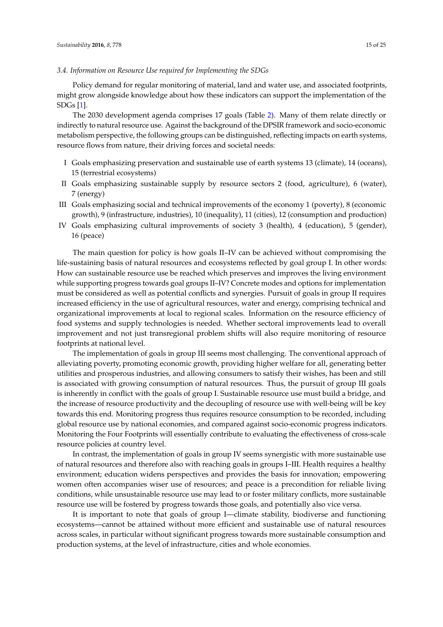#### *3.4. Information on Resource Use required for Implementing the SDGs*

Policy demand for regular monitoring of material, land and water use, and associated footprints, might grow alongside knowledge about how these indicators can support the implementation of the SDGs [\[1\]](#page-20-0).

The 2030 development agenda comprises 17 goals (Table [2\)](#page-17-0). Many of them relate directly or indirectly to natural resource use. Against the background of the DPSIR framework and socio-economic metabolism perspective, the following groups can be distinguished, reflecting impacts on earth systems, resource flows from nature, their driving forces and societal needs:

- I Goals emphasizing preservation and sustainable use of earth systems 13 (climate), 14 (oceans), 15 (terrestrial ecosystems)
- II Goals emphasizing sustainable supply by resource sectors 2 (food, agriculture), 6 (water), 7 (energy)
- III Goals emphasizing social and technical improvements of the economy 1 (poverty), 8 (economic growth), 9 (infrastructure, industries), 10 (inequality), 11 (cities), 12 (consumption and production)
- IV Goals emphasizing cultural improvements of society 3 (health), 4 (education), 5 (gender), 16 (peace)

The main question for policy is how goals II–IV can be achieved without compromising the life-sustaining basis of natural resources and ecosystems reflected by goal group I. In other words: How can sustainable resource use be reached which preserves and improves the living environment while supporting progress towards goal groups II–IV? Concrete modes and options for implementation must be considered as well as potential conflicts and synergies. Pursuit of goals in group II requires increased efficiency in the use of agricultural resources, water and energy, comprising technical and organizational improvements at local to regional scales. Information on the resource efficiency of food systems and supply technologies is needed. Whether sectoral improvements lead to overall improvement and not just transregional problem shifts will also require monitoring of resource footprints at national level.

The implementation of goals in group III seems most challenging. The conventional approach of alleviating poverty, promoting economic growth, providing higher welfare for all, generating better utilities and prosperous industries, and allowing consumers to satisfy their wishes, has been and still is associated with growing consumption of natural resources. Thus, the pursuit of group III goals is inherently in conflict with the goals of group I. Sustainable resource use must build a bridge, and the increase of resource productivity and the decoupling of resource use with well-being will be key towards this end. Monitoring progress thus requires resource consumption to be recorded, including global resource use by national economies, and compared against socio-economic progress indicators. Monitoring the Four Footprints will essentially contribute to evaluating the effectiveness of cross-scale resource policies at country level.

In contrast, the implementation of goals in group IV seems synergistic with more sustainable use of natural resources and therefore also with reaching goals in groups I–III. Health requires a healthy environment; education widens perspectives and provides the basis for innovation; empowering women often accompanies wiser use of resources; and peace is a precondition for reliable living conditions, while unsustainable resource use may lead to or foster military conflicts, more sustainable resource use will be fostered by progress towards those goals, and potentially also vice versa.

It is important to note that goals of group I—climate stability, biodiverse and functioning ecosystems—cannot be attained without more efficient and sustainable use of natural resources across scales, in particular without significant progress towards more sustainable consumption and production systems, at the level of infrastructure, cities and whole economies.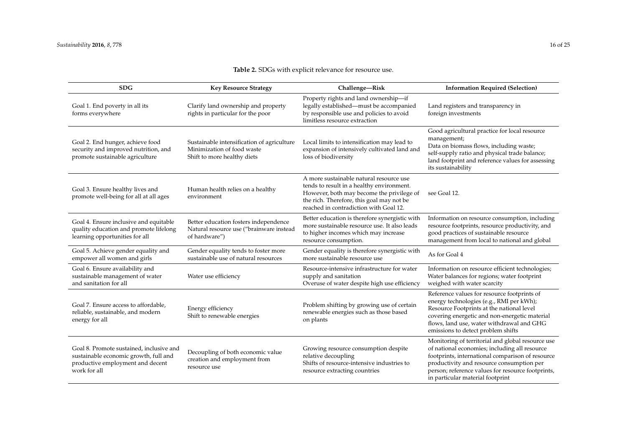| <b>Table 2.</b> SDGs with explicit relevance for resource use. |  |
|----------------------------------------------------------------|--|
|----------------------------------------------------------------|--|

| <b>SDG</b>                                                                                                                            | <b>Key Resource Strategy</b>                                                                            | Challenge-Risk                                                                                                                                                                                                           | <b>Information Required (Selection)</b>                                                                                                                                                                                                                                                      |
|---------------------------------------------------------------------------------------------------------------------------------------|---------------------------------------------------------------------------------------------------------|--------------------------------------------------------------------------------------------------------------------------------------------------------------------------------------------------------------------------|----------------------------------------------------------------------------------------------------------------------------------------------------------------------------------------------------------------------------------------------------------------------------------------------|
| Goal 1. End poverty in all its<br>forms everywhere                                                                                    | Clarify land ownership and property<br>rights in particular for the poor                                | Property rights and land ownership-if<br>legally established—must be accompanied<br>by responsible use and policies to avoid<br>limitless resource extraction                                                            | Land registers and transparency in<br>foreign investments                                                                                                                                                                                                                                    |
| Goal 2. End hunger, achieve food<br>security and improved nutrition, and<br>promote sustainable agriculture                           | Sustainable intensification of agriculture<br>Minimization of food waste<br>Shift to more healthy diets | Local limits to intensification may lead to<br>expansion of intensively cultivated land and<br>loss of biodiversity                                                                                                      | Good agricultural practice for local resource<br>management;<br>Data on biomass flows, including waste;<br>self-supply ratio and physical trade balance;<br>land footprint and reference values for assessing<br>its sustainability                                                          |
| Goal 3. Ensure healthy lives and<br>promote well-being for all at all ages                                                            | Human health relies on a healthy<br>environment                                                         | A more sustainable natural resource use<br>tends to result in a healthy environment.<br>However, both may become the privilege of<br>the rich. Therefore, this goal may not be<br>reached in contradiction with Goal 12. | see Goal 12.                                                                                                                                                                                                                                                                                 |
| Goal 4. Ensure inclusive and equitable<br>quality education and promote lifelong<br>learning opportunities for all                    | Better education fosters independence<br>Natural resource use ("brainware instead<br>of hardware")      | Better education is therefore synergistic with<br>more sustainable resource use. It also leads<br>to higher incomes which may increase<br>resource consumption.                                                          | Information on resource consumption, including<br>resource footprints, resource productivity, and<br>good practices of sustainable resource<br>management from local to national and global                                                                                                  |
| Goal 5. Achieve gender equality and<br>empower all women and girls                                                                    | Gender equality tends to foster more<br>sustainable use of natural resources                            | Gender equality is therefore synergistic with<br>more sustainable resource use                                                                                                                                           | As for Goal 4                                                                                                                                                                                                                                                                                |
| Goal 6. Ensure availability and<br>sustainable management of water<br>and sanitation for all                                          | Water use efficiency                                                                                    | Resource-intensive infrastructure for water<br>supply and sanitation<br>Overuse of water despite high use efficiency                                                                                                     | Information on resource efficient technologies;<br>Water balances for regions; water footprint<br>weighed with water scarcity                                                                                                                                                                |
| Goal 7. Ensure access to affordable.<br>reliable, sustainable, and modern<br>energy for all                                           | Energy efficiency<br>Shift to renewable energies                                                        | Problem shifting by growing use of certain<br>renewable energies such as those based<br>on plants                                                                                                                        | Reference values for resource footprints of<br>energy technologies (e.g., RMI per kWh);<br>Resource Footprints at the national level<br>covering energetic and non-energetic material<br>flows, land use, water withdrawal and GHG<br>emissions to detect problem shifts                     |
| Goal 8. Promote sustained, inclusive and<br>sustainable economic growth, full and<br>productive employment and decent<br>work for all | Decoupling of both economic value<br>creation and employment from<br>resource use                       | Growing resource consumption despite<br>relative decoupling<br>Shifts of resource-intensive industries to<br>resource extracting countries                                                                               | Monitoring of territorial and global resource use<br>of national economies; including all resource<br>footprints, international comparison of resource<br>productivity and resource consumption per<br>person; reference values for resource footprints,<br>in particular material footprint |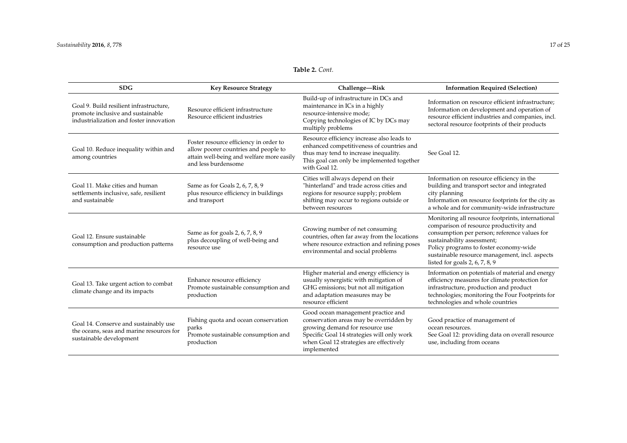#### **Table 2.** *Cont.*

| <b>SDG</b>                                                                                                              | <b>Key Resource Strategy</b>                                                                                                                       | Challenge-Risk                                                                                                                                                                                                           | <b>Information Required (Selection)</b>                                                                                                                                                                                                                                                                  |
|-------------------------------------------------------------------------------------------------------------------------|----------------------------------------------------------------------------------------------------------------------------------------------------|--------------------------------------------------------------------------------------------------------------------------------------------------------------------------------------------------------------------------|----------------------------------------------------------------------------------------------------------------------------------------------------------------------------------------------------------------------------------------------------------------------------------------------------------|
| Goal 9. Build resilient infrastructure,<br>promote inclusive and sustainable<br>industrialization and foster innovation | Resource efficient infrastructure<br>Resource efficient industries                                                                                 | Build-up of infrastructure in DCs and<br>maintenance in ICs in a highly<br>resource-intensive mode;<br>Copying technologies of IC by DCs may<br>multiply problems                                                        | Information on resource efficient infrastructure:<br>Information on development and operation of<br>resource efficient industries and companies, incl.<br>sectoral resource footprints of their products                                                                                                 |
| Goal 10. Reduce inequality within and<br>among countries                                                                | Foster resource efficiency in order to<br>allow poorer countries and people to<br>attain well-being and welfare more easily<br>and less burdensome | Resource efficiency increase also leads to<br>enhanced competitiveness of countries and<br>thus may tend to increase inequality.<br>This goal can only be implemented together<br>with Goal 12.                          | See Goal 12.                                                                                                                                                                                                                                                                                             |
| Goal 11. Make cities and human<br>settlements inclusive, safe, resilient<br>and sustainable                             | Same as for Goals 2, 6, 7, 8, 9<br>plus resource efficiency in buildings<br>and transport                                                          | Cities will always depend on their<br>"hinterland" and trade across cities and<br>regions for resource supply; problem<br>shifting may occur to regions outside or<br>between resources                                  | Information on resource efficiency in the<br>building and transport sector and integrated<br>city planning<br>Information on resource footprints for the city as<br>a whole and for community-wide infrastructure                                                                                        |
| Goal 12. Ensure sustainable<br>consumption and production patterns                                                      | Same as for goals 2, 6, 7, 8, 9<br>plus decoupling of well-being and<br>resource use                                                               | Growing number of net consuming<br>countries, often far away from the locations<br>where resource extraction and refining poses<br>environmental and social problems                                                     | Monitoring all resource footprints, international<br>comparison of resource productivity and<br>consumption per person; reference values for<br>sustainability assessment;<br>Policy programs to foster economy-wide<br>sustainable resource management, incl. aspects<br>listed for goals 2, 6, 7, 8, 9 |
| Goal 13. Take urgent action to combat<br>climate change and its impacts                                                 | Enhance resource efficiency<br>Promote sustainable consumption and<br>production                                                                   | Higher material and energy efficiency is<br>usually synergistic with mitigation of<br>GHG emissions; but not all mitigation<br>and adaptation measures may be<br>resource efficient                                      | Information on potentials of material and energy<br>efficiency measures for climate protection for<br>infrastructure, production and product<br>technologies; monitoring the Four Footprints for<br>technologies and whole countries                                                                     |
| Goal 14. Conserve and sustainably use<br>the oceans, seas and marine resources for<br>sustainable development           | Fishing quota and ocean conservation<br>parks<br>Promote sustainable consumption and<br>production                                                 | Good ocean management practice and<br>conservation areas may be overridden by<br>growing demand for resource use<br>Specific Goal 14 strategies will only work<br>when Goal 12 strategies are effectively<br>implemented | Good practice of management of<br>ocean resources.<br>See Goal 12: providing data on overall resource<br>use, including from oceans                                                                                                                                                                      |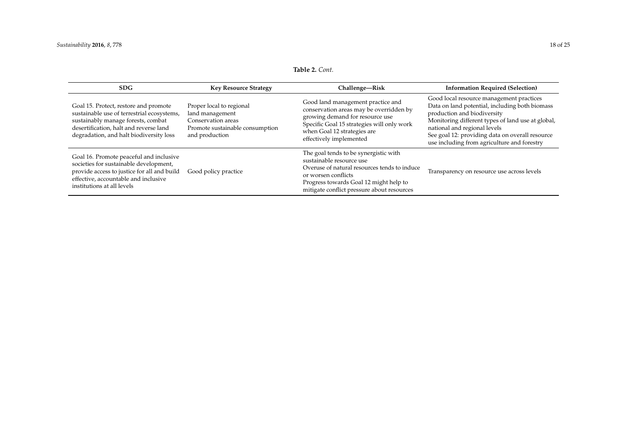#### **Table 2.** *Cont.*

<span id="page-17-0"></span>

| <b>SDG</b>                                                                                                                                                                                                     | <b>Key Resource Strategy</b>                                                                                           | Challenge-Risk                                                                                                                                                                                                                   | <b>Information Required (Selection)</b>                                                                                                                                                                                                                                                                          |
|----------------------------------------------------------------------------------------------------------------------------------------------------------------------------------------------------------------|------------------------------------------------------------------------------------------------------------------------|----------------------------------------------------------------------------------------------------------------------------------------------------------------------------------------------------------------------------------|------------------------------------------------------------------------------------------------------------------------------------------------------------------------------------------------------------------------------------------------------------------------------------------------------------------|
| Goal 15. Protect, restore and promote<br>sustainable use of terrestrial ecosystems,<br>sustainably manage forests, combat<br>desertification, halt and reverse land<br>degradation, and halt biodiversity loss | Proper local to regional<br>land management<br>Conservation areas<br>Promote sustainable consumption<br>and production | Good land management practice and<br>conservation areas may be overridden by<br>growing demand for resource use<br>Specific Goal 15 strategies will only work<br>when Goal 12 strategies are<br>effectively implemented          | Good local resource management practices<br>Data on land potential, including both biomass<br>production and biodiversity<br>Monitoring different types of land use at global,<br>national and regional levels<br>See goal 12: providing data on overall resource<br>use including from agriculture and forestry |
| Goal 16. Promote peaceful and inclusive<br>societies for sustainable development,<br>provide access to justice for all and build<br>effective, accountable and inclusive<br>institutions at all levels         | Good policy practice                                                                                                   | The goal tends to be synergistic with<br>sustainable resource use<br>Overuse of natural resources tends to induce<br>or worsen conflicts<br>Progress towards Goal 12 might help to<br>mitigate conflict pressure about resources | Transparency on resource use across levels                                                                                                                                                                                                                                                                       |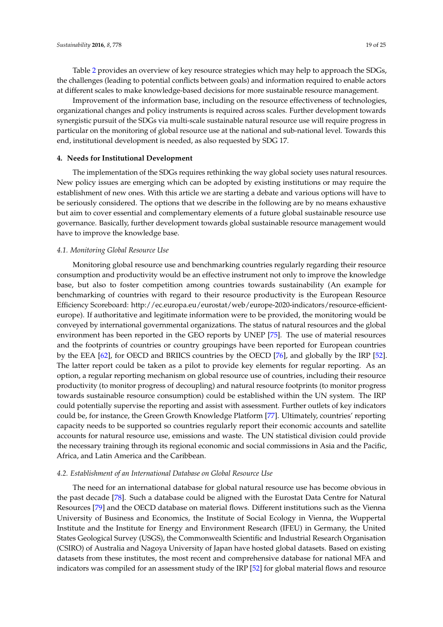Table [2](#page-17-0) provides an overview of key resource strategies which may help to approach the SDGs, the challenges (leading to potential conflicts between goals) and information required to enable actors at different scales to make knowledge-based decisions for more sustainable resource management.

Improvement of the information base, including on the resource effectiveness of technologies, organizational changes and policy instruments is required across scales. Further development towards synergistic pursuit of the SDGs via multi-scale sustainable natural resource use will require progress in particular on the monitoring of global resource use at the national and sub-national level. Towards this end, institutional development is needed, as also requested by SDG 17.

#### **4. Needs for Institutional Development**

The implementation of the SDGs requires rethinking the way global society uses natural resources. New policy issues are emerging which can be adopted by existing institutions or may require the establishment of new ones. With this article we are starting a debate and various options will have to be seriously considered. The options that we describe in the following are by no means exhaustive but aim to cover essential and complementary elements of a future global sustainable resource use governance. Basically, further development towards global sustainable resource management would have to improve the knowledge base.

#### *4.1. Monitoring Global Resource Use*

Monitoring global resource use and benchmarking countries regularly regarding their resource consumption and productivity would be an effective instrument not only to improve the knowledge base, but also to foster competition among countries towards sustainability (An example for benchmarking of countries with regard to their resource productivity is the European Resource Efficiency Scoreboard: http://ec.europa.eu/eurostat/web/europe-2020-indicators/resource-efficienteurope). If authoritative and legitimate information were to be provided, the monitoring would be conveyed by international governmental organizations. The status of natural resources and the global environment has been reported in the GEO reports by UNEP [\[75\]](#page-23-18). The use of material resources and the footprints of countries or country groupings have been reported for European countries by the EEA [\[62\]](#page-23-5), for OECD and BRIICS countries by the OECD [\[76\]](#page-23-19), and globally by the IRP [\[52\]](#page-22-19). The latter report could be taken as a pilot to provide key elements for regular reporting. As an option, a regular reporting mechanism on global resource use of countries, including their resource productivity (to monitor progress of decoupling) and natural resource footprints (to monitor progress towards sustainable resource consumption) could be established within the UN system. The IRP could potentially supervise the reporting and assist with assessment. Further outlets of key indicators could be, for instance, the Green Growth Knowledge Platform [\[77\]](#page-23-20). Ultimately, countries' reporting capacity needs to be supported so countries regularly report their economic accounts and satellite accounts for natural resource use, emissions and waste. The UN statistical division could provide the necessary training through its regional economic and social commissions in Asia and the Pacific, Africa, and Latin America and the Caribbean.

#### *4.2. Establishment of an International Database on Global Resource Use*

The need for an international database for global natural resource use has become obvious in the past decade [\[78\]](#page-24-0). Such a database could be aligned with the Eurostat Data Centre for Natural Resources [\[79\]](#page-24-1) and the OECD database on material flows. Different institutions such as the Vienna University of Business and Economics, the Institute of Social Ecology in Vienna, the Wuppertal Institute and the Institute for Energy and Environment Research (IFEU) in Germany, the United States Geological Survey (USGS), the Commonwealth Scientific and Industrial Research Organisation (CSIRO) of Australia and Nagoya University of Japan have hosted global datasets. Based on existing datasets from these institutes, the most recent and comprehensive database for national MFA and indicators was compiled for an assessment study of the IRP [\[52\]](#page-22-19) for global material flows and resource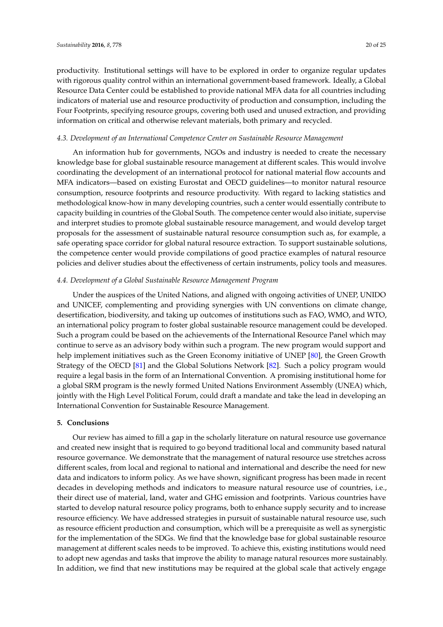productivity. Institutional settings will have to be explored in order to organize regular updates with rigorous quality control within an international government-based framework. Ideally, a Global Resource Data Center could be established to provide national MFA data for all countries including indicators of material use and resource productivity of production and consumption, including the Four Footprints, specifying resource groups, covering both used and unused extraction, and providing information on critical and otherwise relevant materials, both primary and recycled.

#### *4.3. Development of an International Competence Center on Sustainable Resource Management*

An information hub for governments, NGOs and industry is needed to create the necessary knowledge base for global sustainable resource management at different scales. This would involve coordinating the development of an international protocol for national material flow accounts and MFA indicators—based on existing Eurostat and OECD guidelines—to monitor natural resource consumption, resource footprints and resource productivity. With regard to lacking statistics and methodological know-how in many developing countries, such a center would essentially contribute to capacity building in countries of the Global South. The competence center would also initiate, supervise and interpret studies to promote global sustainable resource management, and would develop target proposals for the assessment of sustainable natural resource consumption such as, for example, a safe operating space corridor for global natural resource extraction. To support sustainable solutions, the competence center would provide compilations of good practice examples of natural resource policies and deliver studies about the effectiveness of certain instruments, policy tools and measures.

#### *4.4. Development of a Global Sustainable Resource Management Program*

Under the auspices of the United Nations, and aligned with ongoing activities of UNEP, UNIDO and UNICEF, complementing and providing synergies with UN conventions on climate change, desertification, biodiversity, and taking up outcomes of institutions such as FAO, WMO, and WTO, an international policy program to foster global sustainable resource management could be developed. Such a program could be based on the achievements of the International Resource Panel which may continue to serve as an advisory body within such a program. The new program would support and help implement initiatives such as the Green Economy initiative of UNEP [\[80\]](#page-24-2), the Green Growth Strategy of the OECD [\[81\]](#page-24-3) and the Global Solutions Network [\[82\]](#page-24-4). Such a policy program would require a legal basis in the form of an International Convention. A promising institutional home for a global SRM program is the newly formed United Nations Environment Assembly (UNEA) which, jointly with the High Level Political Forum, could draft a mandate and take the lead in developing an International Convention for Sustainable Resource Management.

#### **5. Conclusions**

Our review has aimed to fill a gap in the scholarly literature on natural resource use governance and created new insight that is required to go beyond traditional local and community based natural resource governance. We demonstrate that the management of natural resource use stretches across different scales, from local and regional to national and international and describe the need for new data and indicators to inform policy. As we have shown, significant progress has been made in recent decades in developing methods and indicators to measure natural resource use of countries, i.e., their direct use of material, land, water and GHG emission and footprints. Various countries have started to develop natural resource policy programs, both to enhance supply security and to increase resource efficiency. We have addressed strategies in pursuit of sustainable natural resource use, such as resource efficient production and consumption, which will be a prerequisite as well as synergistic for the implementation of the SDGs. We find that the knowledge base for global sustainable resource management at different scales needs to be improved. To achieve this, existing institutions would need to adopt new agendas and tasks that improve the ability to manage natural resources more sustainably. In addition, we find that new institutions may be required at the global scale that actively engage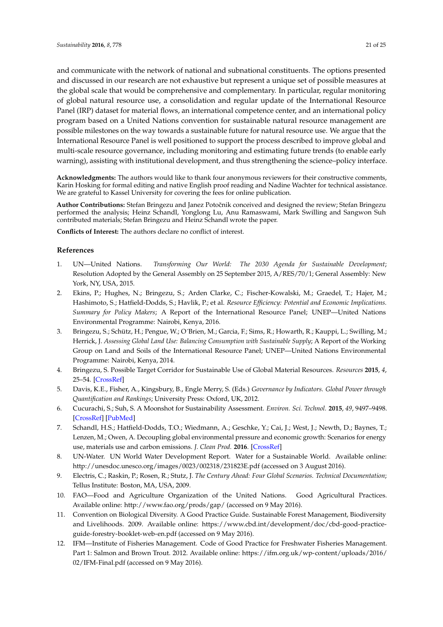and communicate with the network of national and subnational constituents. The options presented and discussed in our research are not exhaustive but represent a unique set of possible measures at the global scale that would be comprehensive and complementary. In particular, regular monitoring of global natural resource use, a consolidation and regular update of the International Resource Panel (IRP) dataset for material flows, an international competence center, and an international policy program based on a United Nations convention for sustainable natural resource management are possible milestones on the way towards a sustainable future for natural resource use. We argue that the International Resource Panel is well positioned to support the process described to improve global and multi-scale resource governance, including monitoring and estimating future trends (to enable early warning), assisting with institutional development, and thus strengthening the science–policy interface.

**Acknowledgments:** The authors would like to thank four anonymous reviewers for their constructive comments, Karin Hosking for formal editing and native English proof reading and Nadine Wachter for technical assistance. We are grateful to Kassel University for covering the fees for online publication.

**Author Contributions:** Stefan Bringezu and Janez Potoˇcnik conceived and designed the review; Stefan Bringezu performed the analysis; Heinz Schandl, Yonglong Lu, Anu Ramaswami, Mark Swilling and Sangwon Suh contributed materials; Stefan Bringezu and Heinz Schandl wrote the paper.

**Conflicts of Interest:** The authors declare no conflict of interest.

#### **References**

- <span id="page-20-0"></span>1. UN—United Nations. *Transforming Our World: The 2030 Agenda for Sustainable Development*; Resolution Adopted by the General Assembly on 25 September 2015, A/RES/70/1; General Assembly: New York, NY, USA, 2015.
- <span id="page-20-1"></span>2. Ekins, P.; Hughes, N.; Bringezu, S.; Arden Clarke, C.; Fischer-Kowalski, M.; Graedel, T.; Hajer, M.; Hashimoto, S.; Hatfield-Dodds, S.; Havlik, P.; et al. *Resource Efficiency: Potential and Economic Implications. Summary for Policy Makers*; A Report of the International Resource Panel; UNEP—United Nations Environmental Programme: Nairobi, Kenya, 2016.
- <span id="page-20-8"></span>3. Bringezu, S.; Schütz, H.; Pengue, W.; O´Brien, M.; Garcia, F.; Sims, R.; Howarth, R.; Kauppi, L.; Swilling, M.; Herrick, J. *Assessing Global Land Use: Balancing Consumption with Sustainable Supply*; A Report of the Working Group on Land and Soils of the International Resource Panel; UNEP—United Nations Environmental Programme: Nairobi, Kenya, 2014.
- <span id="page-20-2"></span>4. Bringezu, S. Possible Target Corridor for Sustainable Use of Global Material Resources. *Resources* **2015**, *4*, 25–54. [\[CrossRef\]](http://dx.doi.org/10.3390/resources4010025)
- <span id="page-20-3"></span>5. Davis, K.E., Fisher, A., Kingsbury, B., Engle Merry, S. (Eds.) *Governance by Indicators. Global Power through Quantification and Rankings*; University Press: Oxford, UK, 2012.
- <span id="page-20-4"></span>6. Cucurachi, S.; Suh, S. A Moonshot for Sustainability Assessment. *Environ. Sci. Technol.* **2015**, *49*, 9497–9498. [\[CrossRef\]](http://dx.doi.org/10.1021/acs.est.5b02960) [\[PubMed\]](http://www.ncbi.nlm.nih.gov/pubmed/26230673)
- <span id="page-20-5"></span>7. Schandl, H.S.; Hatfield-Dodds, T.O.; Wiedmann, A.; Geschke, Y.; Cai, J.; West, J.; Newth, D.; Baynes, T.; Lenzen, M.; Owen, A. Decoupling global environmental pressure and economic growth: Scenarios for energy use, materials use and carbon emissions. *J. Clean Prod.* **2016**. [\[CrossRef\]](http://dx.doi.org/10.1016/j.jclepro.2015.06.100)
- <span id="page-20-6"></span>8. UN-Water. UN World Water Development Report. Water for a Sustainable World. Available online: <http://unesdoc.unesco.org/images/0023/002318/231823E.pdf> (accessed on 3 August 2016).
- <span id="page-20-7"></span>9. Electris, C.; Raskin, P.; Rosen, R.; Stutz, J. *The Century Ahead: Four Global Scenarios. Technical Documentation*; Tellus Institute: Boston, MA, USA, 2009.
- <span id="page-20-9"></span>10. FAO—Food and Agriculture Organization of the United Nations. Good Agricultural Practices. Available online: <http://www.fao.org/prods/gap/> (accessed on 9 May 2016).
- <span id="page-20-10"></span>11. Convention on Biological Diversity. A Good Practice Guide. Sustainable Forest Management, Biodiversity and Livelihoods. 2009. Available online: [https://www.cbd.int/development/doc/cbd-good-practice](https://www.cbd.int/development/doc/cbd-good-practice-guide-forestry-booklet-web-en.pdf)[guide-forestry-booklet-web-en.pdf](https://www.cbd.int/development/doc/cbd-good-practice-guide-forestry-booklet-web-en.pdf) (accessed on 9 May 2016).
- <span id="page-20-11"></span>12. IFM—Institute of Fisheries Management. Code of Good Practice for Freshwater Fisheries Management. Part 1: Salmon and Brown Trout. 2012. Available online: [https://ifm.org.uk/wp-content/uploads/2016/](https://ifm.org.uk/wp-content/uploads/2016/02/IFM-Final.pdf) [02/IFM-Final.pdf](https://ifm.org.uk/wp-content/uploads/2016/02/IFM-Final.pdf) (accessed on 9 May 2016).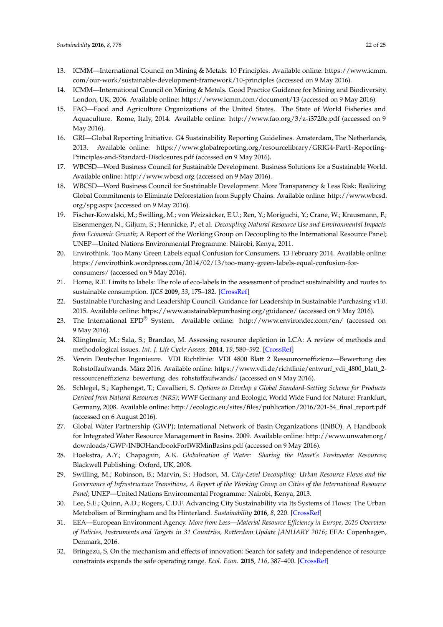- <span id="page-21-0"></span>13. ICMM—International Council on Mining & Metals. 10 Principles. Available online: [https://www.icmm.](https://www.icmm.com/our-work/sustainable-development-framework/10-principles) [com/our-work/sustainable-development-framework/10-principles](https://www.icmm.com/our-work/sustainable-development-framework/10-principles) (accessed on 9 May 2016).
- <span id="page-21-1"></span>14. ICMM—International Council on Mining & Metals. Good Practice Guidance for Mining and Biodiversity. London, UK, 2006. Available online: <https://www.icmm.com/document/13> (accessed on 9 May 2016).
- <span id="page-21-2"></span>15. FAO—Food and Agriculture Organizations of the United States. The State of World Fisheries and Aquaculture. Rome, Italy, 2014. Available online: <http://www.fao.org/3/a-i3720e.pdf> (accessed on 9 May 2016).
- <span id="page-21-3"></span>16. GRI—Global Reporting Initiative. G4 Sustainability Reporting Guidelines. Amsterdam, The Netherlands, 2013. Available online: [https://www.globalreporting.org/resourcelibrary/GRIG4-Part1-Reporting-](https://www.globalreporting.org/resourcelibrary/GRIG4-Part1-Reporting-Principles-and-Standard-Disclosures.pdf)[Principles-and-Standard-Disclosures.pdf](https://www.globalreporting.org/resourcelibrary/GRIG4-Part1-Reporting-Principles-and-Standard-Disclosures.pdf) (accessed on 9 May 2016).
- <span id="page-21-4"></span>17. WBCSD—Word Business Council for Sustainable Development. Business Solutions for a Sustainable World. Available online: <http://www.wbcsd.org> (accessed on 9 May 2016).
- <span id="page-21-5"></span>18. WBCSD—Word Business Council for Sustainable Development. More Transparency & Less Risk: Realizing Global Commitments to Eliminate Deforestation from Supply Chains. Available online: [http://www.wbcsd.](http://www.wbcsd.org/spg.aspx) [org/spg.aspx](http://www.wbcsd.org/spg.aspx) (accessed on 9 May 2016).
- <span id="page-21-6"></span>19. Fischer-Kowalski, M.; Swilling, M.; von Weizsäcker, E.U.; Ren, Y.; Moriguchi, Y.; Crane, W.; Krausmann, F.; Eisenmenger, N.; Giljum, S.; Hennicke, P.; et al. *Decoupling Natural Resource Use and Environmental Impacts from Economic Growth*; A Report of the Working Group on Decoupling to the International Resource Panel; UNEP—United Nations Environmental Programme: Nairobi, Kenya, 2011.
- <span id="page-21-7"></span>20. Envirothink. Too Many Green Labels equal Confusion for Consumers. 13 February 2014. Available online: [https://envirothink.wordpress.com/2014/02/13/too-many-green-labels-equal-confusion-for](https://envirothink.wordpress.com/2014/02/13/too-many-green-labels-equal-confusion-for-consumers/)[consumers/](https://envirothink.wordpress.com/2014/02/13/too-many-green-labels-equal-confusion-for-consumers/) (accessed on 9 May 2016).
- <span id="page-21-8"></span>21. Horne, R.E. Limits to labels: The role of eco-labels in the assessment of product sustainability and routes to sustainable consumption. *IJCS* **2009**, *33*, 175–182. [\[CrossRef\]](http://dx.doi.org/10.1111/j.1470-6431.2009.00752.x)
- <span id="page-21-9"></span>22. Sustainable Purchasing and Leadership Council. Guidance for Leadership in Sustainable Purchasing v1.0. 2015. Available online: <https://www.sustainablepurchasing.org/guidance/> (accessed on 9 May 2016).
- <span id="page-21-10"></span>23. The International EPD® System. Available online: <http://www.environdec.com/en/> (accessed on 9 May 2016).
- <span id="page-21-11"></span>24. Klinglmair, M.; Sala, S.; Brandão, M. Assessing resource depletion in LCA: A review of methods and methodological issues. *Int. J. Life Cycle Assess.* **2014**, *19*, 580–592. [\[CrossRef\]](http://dx.doi.org/10.1007/s11367-013-0650-9)
- <span id="page-21-12"></span>25. Verein Deutscher Ingenieure. VDI Richtlinie: VDI 4800 Blatt 2 Ressourceneffizienz—Bewertung des Rohstoffaufwands. März 2016. Available online: [https://www.vdi.de/richtlinie/entwurf\\_vdi\\_4800\\_blatt\\_2](https://www.vdi.de/richtlinie/entwurf_vdi_4800_blatt_2-ressourceneffizienz_bewertung_des_rohstoffaufwands/) [ressourceneffizienz\\_bewertung\\_des\\_rohstoffaufwands/](https://www.vdi.de/richtlinie/entwurf_vdi_4800_blatt_2-ressourceneffizienz_bewertung_des_rohstoffaufwands/) (accessed on 9 May 2016).
- <span id="page-21-13"></span>26. Schlegel, S.; Kaphengst, T.; Cavallieri, S. *Options to Develop a Global Standard-Setting Scheme for Products Derived from Natural Resources (NRS)*; WWF Germany and Ecologic, World Wide Fund for Nature: Frankfurt, Germany, 2008. Available online: [http://ecologic.eu/sites/files/publication/2016/201-54\\_final\\_report.pdf](http://ecologic.eu/sites/files/publication/2016/201-54_final_report.pdf) (accessed on 6 August 2016).
- <span id="page-21-14"></span>27. Global Water Partnership (GWP); International Network of Basin Organizations (INBO). A Handbook for Integrated Water Resource Management in Basins. 2009. Available online: [http://www.unwater.org/](http://www.unwater.org/downloads/GWP-INBOHandbookForIWRMinBasins.pdf) [downloads/GWP-INBOHandbookForIWRMinBasins.pdf](http://www.unwater.org/downloads/GWP-INBOHandbookForIWRMinBasins.pdf) (accessed on 9 May 2016).
- <span id="page-21-15"></span>28. Hoekstra, A.Y.; Chapagain, A.K. *Globalization of Water: Sharing the Planet's Freshwater Resources*; Blackwell Publishing: Oxford, UK, 2008.
- <span id="page-21-16"></span>29. Swilling, M.; Robinson, B.; Marvin, S.; Hodson, M. *City-Level Decoupling: Urban Resource Flows and the Governance of Infrastructure Transitions, A Report of the Working Group on Cities of the International Resource Panel*; UNEP—United Nations Environmental Programme: Nairobi, Kenya, 2013.
- <span id="page-21-17"></span>30. Lee, S.E.; Quinn, A.D.; Rogers, C.D.F. Advancing City Sustainability via Its Systems of Flows: The Urban Metabolism of Birmingham and Its Hinterland. *Sustainability* **2016**, *8*, 220. [\[CrossRef\]](http://dx.doi.org/10.3390/su8030220)
- <span id="page-21-18"></span>31. EEA—European Environment Agency. *More from Less—Material Resource Efficiency in Europe, 2015 Overview of Policies, Instruments and Targets in 31 Countries, Rotterdam Update JANUARY 2016*; EEA: Copenhagen, Denmark, 2016.
- <span id="page-21-19"></span>32. Bringezu, S. On the mechanism and effects of innovation: Search for safety and independence of resource constraints expands the safe operating range. *Ecol. Econ.* **2015**, *116*, 387–400. [\[CrossRef\]](http://dx.doi.org/10.1016/j.ecolecon.2015.06.001)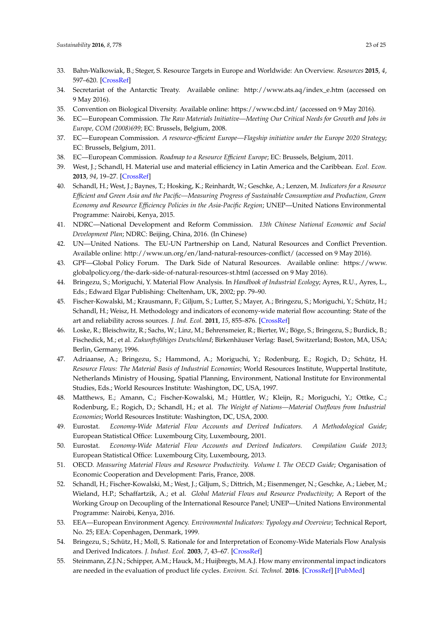- <span id="page-22-0"></span>33. Bahn-Walkowiak, B.; Steger, S. Resource Targets in Europe and Worldwide: An Overview. *Resources* **2015**, *4*, 597–620. [\[CrossRef\]](http://dx.doi.org/10.3390/resources4030597)
- <span id="page-22-1"></span>34. Secretariat of the Antarctic Treaty. Available online: [http://www.ats.aq/index\\_e.htm](http://www.ats.aq/index_e.htm) (accessed on 9 May 2016).
- <span id="page-22-2"></span>35. Convention on Biological Diversity. Available online: <https://www.cbd.int/> (accessed on 9 May 2016).
- <span id="page-22-3"></span>36. EC—European Commission. *The Raw Materials Initiative—Meeting Our Critical Needs for Growth and Jobs in Europe, COM (2008)699*; EC: Brussels, Belgium, 2008.
- <span id="page-22-4"></span>37. EC—European Commission. *A resource-efficient Europe—Flagship initiative under the Europe 2020 Strategy*; EC: Brussels, Belgium, 2011.
- <span id="page-22-5"></span>38. EC—European Commission. *Roadmap to a Resource Efficient Europe*; EC: Brussels, Belgium, 2011.
- <span id="page-22-6"></span>39. West, J.; Schandl, H. Material use and material efficiency in Latin America and the Caribbean. *Ecol. Econ.* **2013**, *94*, 19–27. [\[CrossRef\]](http://dx.doi.org/10.1016/j.ecolecon.2013.06.015)
- <span id="page-22-7"></span>40. Schandl, H.; West, J.; Baynes, T.; Hosking, K.; Reinhardt, W.; Geschke, A.; Lenzen, M. *Indicators for a Resource Efficient and Green Asia and the Pacific—Measuring Progress of Sustainable Consumption and Production, Green Economy and Resource Efficiency Policies in the Asia-Pacific Region*; UNEP—United Nations Environmental Programme: Nairobi, Kenya, 2015.
- <span id="page-22-8"></span>41. NDRC—National Development and Reform Commission. *13th Chinese National Economic and Social Development Plan*; NDRC: Beijing, China, 2016. (In Chinese)
- <span id="page-22-9"></span>42. UN—United Nations. The EU-UN Partnership on Land, Natural Resources and Conflict Prevention. Available online: <http://www.un.org/en/land-natural-resources-conflict/> (accessed on 9 May 2016).
- <span id="page-22-10"></span>43. GPF—Global Policy Forum. The Dark Side of Natural Resources. Available online: [https://www.](https://www.globalpolicy.org/the-dark-side-of-natural-resources-st.html) [globalpolicy.org/the-dark-side-of-natural-resources-st.html](https://www.globalpolicy.org/the-dark-side-of-natural-resources-st.html) (accessed on 9 May 2016).
- <span id="page-22-11"></span>44. Bringezu, S.; Moriguchi, Y. Material Flow Analysis. In *Handbook of Industrial Ecology*; Ayres, R.U., Ayres, L., Eds.; Edward Elgar Publishing: Cheltenham, UK, 2002; pp. 79–90.
- <span id="page-22-12"></span>45. Fischer-Kowalski, M.; Krausmann, F.; Giljum, S.; Lutter, S.; Mayer, A.; Bringezu, S.; Moriguchi, Y.; Schütz, H.; Schandl, H.; Weisz, H. Methodology and indicators of economy-wide material flow accounting: State of the art and reliability across sources. *J. Ind. Ecol.* **2011**, *15*, 855–876. [\[CrossRef\]](http://dx.doi.org/10.1111/j.1530-9290.2011.00366.x)
- <span id="page-22-13"></span>46. Loske, R.; Bleischwitz, R.; Sachs, W.; Linz, M.; Behrensmeier, R.; Bierter, W.; Böge, S.; Bringezu, S.; Burdick, B.; Fischedick, M.; et al. *Zukunftsfähiges Deutschland*; Birkenhäuser Verlag: Basel, Switzerland; Boston, MA, USA; Berlin, Germany, 1996.
- <span id="page-22-14"></span>47. Adriaanse, A.; Bringezu, S.; Hammond, A.; Moriguchi, Y.; Rodenburg, E.; Rogich, D.; Schütz, H. *Resource Flows: The Material Basis of Industrial Economies*; World Resources Institute, Wuppertal Institute, Netherlands Ministry of Housing, Spatial Planning, Environment, National Institute for Environmental Studies, Eds.; World Resources Institute: Washington, DC, USA, 1997.
- <span id="page-22-15"></span>48. Matthews, E.; Amann, C.; Fischer-Kowalski, M.; Hüttler, W.; Kleijn, R.; Moriguchi, Y.; Ottke, C.; Rodenburg, E.; Rogich, D.; Schandl, H.; et al. *The Weight of Nations—Material Outflows from Industrial Economies*; World Resources Institute: Washington, DC, USA, 2000.
- <span id="page-22-16"></span>49. Eurostat. *Economy-Wide Material Flow Accounts and Derived Indicators. A Methodological Guide*; European Statistical Office: Luxembourg City, Luxembourg, 2001.
- <span id="page-22-17"></span>50. Eurostat. *Economy-Wide Material Flow Accounts and Derived Indicators. Compilation Guide 2013*; European Statistical Office: Luxembourg City, Luxembourg, 2013.
- <span id="page-22-18"></span>51. OECD. *Measuring Material Flows and Resource Productivity. Volume I. The OECD Guide*; Organisation of Economic Cooperation and Development: Paris, France, 2008.
- <span id="page-22-19"></span>52. Schandl, H.; Fischer-Kowalski, M.; West, J.; Giljum, S.; Dittrich, M.; Eisenmenger, N.; Geschke, A.; Lieber, M.; Wieland, H.P.; Schaffartzik, A.; et al. *Global Material Flows and Resource Productivity*; A Report of the Working Group on Decoupling of the International Resource Panel; UNEP—United Nations Environmental Programme: Nairobi, Kenya, 2016.
- <span id="page-22-20"></span>53. EEA—European Environment Agency. *Environmental Indicators: Typology and Overview*; Technical Report, No. 25; EEA: Copenhagen, Denmark, 1999.
- <span id="page-22-21"></span>54. Bringezu, S.; Schütz, H.; Moll, S. Rationale for and Interpretation of Economy-Wide Materials Flow Analysis and Derived Indicators. *J. Indust. Ecol.* **2003**, *7*, 43–67. [\[CrossRef\]](http://dx.doi.org/10.1162/108819803322564343)
- <span id="page-22-22"></span>55. Steinmann, Z.J.N.; Schipper, A.M.; Hauck, M.; Huijbregts, M.A.J. How many environmental impact indicators are needed in the evaluation of product life cycles. *Environ. Sci. Technol.* **2016**. [\[CrossRef\]](http://dx.doi.org/10.1021/acs.est.5b05179) [\[PubMed\]](http://www.ncbi.nlm.nih.gov/pubmed/26963880)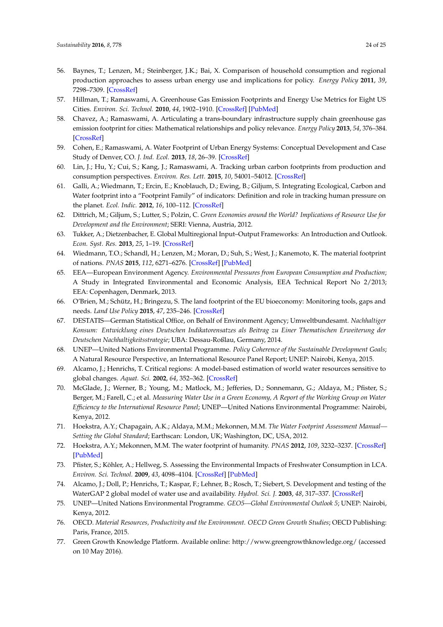- <span id="page-23-0"></span>56. Baynes, T.; Lenzen, M.; Steinberger, J.K.; Bai, X. Comparison of household consumption and regional production approaches to assess urban energy use and implications for policy. *Energy Policy* **2011**, *39*, 7298–7309. [\[CrossRef\]](http://dx.doi.org/10.1016/j.enpol.2011.08.053)
- <span id="page-23-3"></span>57. Hillman, T.; Ramaswami, A. Greenhouse Gas Emission Footprints and Energy Use Metrics for Eight US Cities. *Environ. Sci. Technol.* **2010**, *44*, 1902–1910. [\[CrossRef\]](http://dx.doi.org/10.1021/es9024194) [\[PubMed\]](http://www.ncbi.nlm.nih.gov/pubmed/20136120)
- 58. Chavez, A.; Ramaswami, A. Articulating a trans-boundary infrastructure supply chain greenhouse gas emission footprint for cities: Mathematical relationships and policy relevance. *Energy Policy* **2013**, *54*, 376–384. [\[CrossRef\]](http://dx.doi.org/10.1016/j.enpol.2012.10.037)
- <span id="page-23-1"></span>59. Cohen, E.; Ramaswami, A. Water Footprint of Urban Energy Systems: Conceptual Development and Case Study of Denver, CO. *J. Ind. Ecol.* **2013**, *18*, 26–39. [\[CrossRef\]](http://dx.doi.org/10.1111/jiec.12086)
- <span id="page-23-2"></span>60. Lin, J.; Hu, Y.; Cui, S.; Kang, J.; Ramaswami, A. Tracking urban carbon footprints from production and consumption perspectives. *Environ. Res. Lett.* **2015**, *10*, 54001–54012. [\[CrossRef\]](http://dx.doi.org/10.1088/1748-9326/10/5/054001)
- <span id="page-23-4"></span>61. Galli, A.; Wiedmann, T.; Ercin, E.; Knoblauch, D.; Ewing, B.; Giljum, S. Integrating Ecological, Carbon and Water footprint into a "Footprint Family" of indicators: Definition and role in tracking human pressure on the planet. *Ecol. Indic.* **2012**, *16*, 100–112. [\[CrossRef\]](http://dx.doi.org/10.1016/j.ecolind.2011.06.017)
- <span id="page-23-5"></span>62. Dittrich, M.; Giljum, S.; Lutter, S.; Polzin, C. *Green Economies around the World? Implications of Resource Use for Development and the Environment*; SERI: Vienna, Austria, 2012.
- <span id="page-23-6"></span>63. Tukker, A.; Dietzenbacher, E. Global Multiregional Input–Output Frameworks: An Introduction and Outlook. *Econ. Syst. Res.* **2013**, *25*, 1–19. [\[CrossRef\]](http://dx.doi.org/10.1080/09535314.2012.761179)
- <span id="page-23-7"></span>64. Wiedmann, T.O.; Schandl, H.; Lenzen, M.; Moran, D.; Suh, S.; West, J.; Kanemoto, K. The material footprint of nations. *PNAS* **2015**, *112*, 6271–6276. [\[CrossRef\]](http://dx.doi.org/10.1073/pnas.1220362110) [\[PubMed\]](http://www.ncbi.nlm.nih.gov/pubmed/24003158)
- <span id="page-23-8"></span>65. EEA—European Environment Agency. *Environmental Pressures from European Consumption and Production*; A Study in Integrated Environmental and Economic Analysis, EEA Technical Report No 2/2013; EEA: Copenhagen, Denmark, 2013.
- <span id="page-23-9"></span>66. O'Brien, M.; Schütz, H.; Bringezu, S. The land footprint of the EU bioeconomy: Monitoring tools, gaps and needs. *Land Use Policy* **2015**, *47*, 235–246. [\[CrossRef\]](http://dx.doi.org/10.1016/j.landusepol.2015.04.012)
- <span id="page-23-10"></span>67. DESTATIS—German Statistical Office, on Behalf of Environment Agency; Umweltbundesamt. *Nachhaltiger Konsum: Entwicklung eines Deutschen Indikatorensatzes als Beitrag zu Einer Thematischen Erweiterung der Deutschen Nachhaltigkeitsstrategie*; UBA: Dessau-Roßlau, Germany, 2014.
- <span id="page-23-11"></span>68. UNEP—United Nations Environmental Programme. *Policy Coherence of the Sustainable Development Goals*; A Natural Resource Perspective, an International Resource Panel Report; UNEP: Nairobi, Kenya, 2015.
- <span id="page-23-12"></span>69. Alcamo, J.; Henrichs, T. Critical regions: A model-based estimation of world water resources sensitive to global changes. *Aquat. Sci.* **2002**, *64*, 352–362. [\[CrossRef\]](http://dx.doi.org/10.1007/PL00012591)
- <span id="page-23-13"></span>70. McGlade, J.; Werner, B.; Young, M.; Matlock, M.; Jefferies, D.; Sonnemann, G.; Aldaya, M.; Pfister, S.; Berger, M.; Farell, C.; et al. *Measuring Water Use in a Green Economy, A Report of the Working Group on Water Efficiency to the International Resource Panel*; UNEP—United Nations Environmental Programme: Nairobi, Kenya, 2012.
- <span id="page-23-14"></span>71. Hoekstra, A.Y.; Chapagain, A.K.; Aldaya, M.M.; Mekonnen, M.M. *The Water Footprint Assessment Manual— Setting the Global Standard*; Earthscan: London, UK; Washington, DC, USA, 2012.
- <span id="page-23-15"></span>72. Hoekstra, A.Y.; Mekonnen, M.M. The water footprint of humanity. *PNAS* **2012**, *109*, 3232–3237. [\[CrossRef\]](http://dx.doi.org/10.1073/pnas.1109936109) [\[PubMed\]](http://www.ncbi.nlm.nih.gov/pubmed/22331890)
- <span id="page-23-16"></span>73. Pfister, S.; Köhler, A.; Hellweg, S. Assessing the Environmental Impacts of Freshwater Consumption in LCA. *Environ. Sci. Technol.* **2009**, *43*, 4098–4104. [\[CrossRef\]](http://dx.doi.org/10.1021/es802423e) [\[PubMed\]](http://www.ncbi.nlm.nih.gov/pubmed/19569336)
- <span id="page-23-17"></span>74. Alcamo, J.; Doll, P.; Henrichs, T.; Kaspar, F.; Lehner, B.; Rosch, T.; Siebert, S. Development and testing of the WaterGAP 2 global model of water use and availability. *Hydrol. Sci. J.* **2003**, *48*, 317–337. [\[CrossRef\]](http://dx.doi.org/10.1623/hysj.48.3.317.45290)
- <span id="page-23-18"></span>75. UNEP—United Nations Environmental Programme. *GEO5—Global Environmental Outlook 5*; UNEP: Nairobi, Kenya, 2012.
- <span id="page-23-19"></span>76. OECD. *Material Resources, Productivity and the Environment. OECD Green Growth Studies*; OECD Publishing: Paris, France, 2015.
- <span id="page-23-20"></span>77. Green Growth Knowledge Platform. Available online: <http://www.greengrowthknowledge.org/> (accessed on 10 May 2016).